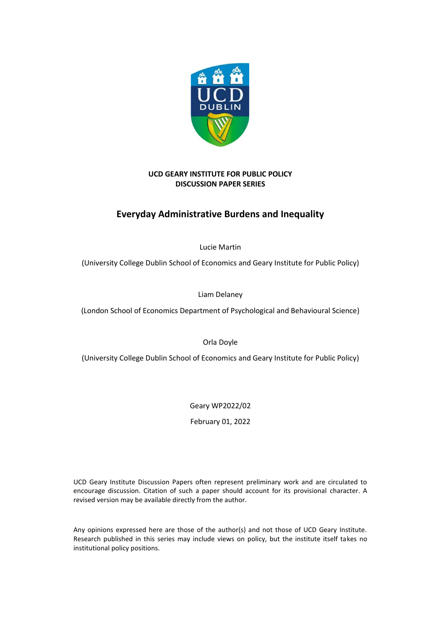

## **UCD GEARY INSTITUTE FOR PUBLIC POLICY DISCUSSION PAPER SERIES**

# **Everyday Administrative Burdens and Inequality**

Lucie Martin

(University College Dublin School of Economics and Geary Institute for Public Policy)

Liam Delaney

(London School of Economics Department of Psychological and Behavioural Science)

Orla Doyle

(University College Dublin School of Economics and Geary Institute for Public Policy)

Geary WP2022/02

February 01, 2022

UCD Geary Institute Discussion Papers often represent preliminary work and are circulated to encourage discussion. Citation of such a paper should account for its provisional character. A revised version may be available directly from the author.

Any opinions expressed here are those of the author(s) and not those of UCD Geary Institute. Research published in this series may include views on policy, but the institute itself takes no institutional policy positions.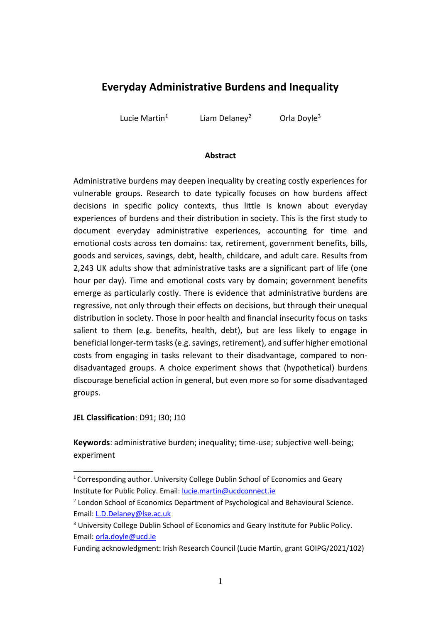# **Everyday Administrative Burdens and Inequality**

Lucie Martin<sup>1</sup>

Liam Delaney<sup>2</sup> Orla Doyle<sup>3</sup>

#### **Abstract**

Administrative burdens may deepen inequality by creating costly experiences for vulnerable groups. Research to date typically focuses on how burdens affect decisions in specific policy contexts, thus little is known about everyday experiences of burdens and their distribution in society. This is the first study to document everyday administrative experiences, accounting for time and emotional costs across ten domains: tax, retirement, government benefits, bills, goods and services, savings, debt, health, childcare, and adult care. Results from 2,243 UK adults show that administrative tasks are a significant part of life (one hour per day). Time and emotional costs vary by domain; government benefits emerge as particularly costly. There is evidence that administrative burdens are regressive, not only through their effects on decisions, but through their unequal distribution in society. Those in poor health and financial insecurity focus on tasks salient to them (e.g. benefits, health, debt), but are less likely to engage in beneficial longer-term tasks(e.g. savings, retirement), and suffer higher emotional costs from engaging in tasks relevant to their disadvantage, compared to nondisadvantaged groups. A choice experiment shows that (hypothetical) burdens discourage beneficial action in general, but even more so for some disadvantaged groups.

**JEL Classification**: D91; I30; J10

\_\_\_\_\_\_\_\_\_\_\_\_\_\_\_\_\_\_

**Keywords**: administrative burden; inequality; time-use; subjective well-being; experiment

<sup>&</sup>lt;sup>1</sup> Corresponding author. University College Dublin School of Economics and Geary Institute for Public Policy. Email[: lucie.martin@ucdconnect.ie](mailto:lucie.martin@ucdconnect.ie)

<sup>&</sup>lt;sup>2</sup> London School of Economics Department of Psychological and Behavioural Science. Email: [L.D.Delaney@lse.ac.uk](mailto:L.D.Delaney@lse.ac.uk)

<sup>&</sup>lt;sup>3</sup> University College Dublin School of Economics and Geary Institute for Public Policy. Email: [orla.doyle@ucd.ie](mailto:orla.doyle@ucd.ie)

Funding acknowledgment: Irish Research Council (Lucie Martin, grant GOIPG/2021/102)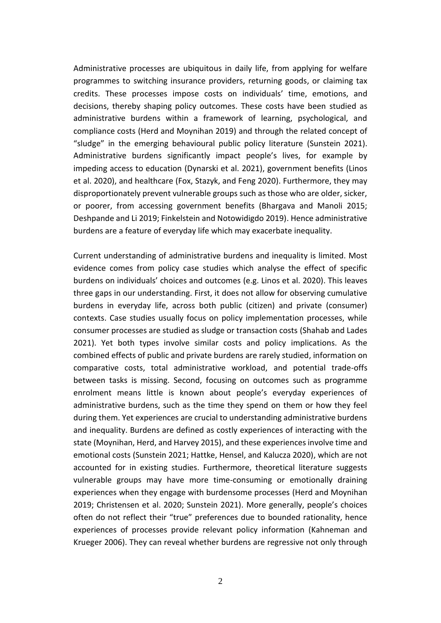Administrative processes are ubiquitous in daily life, from applying for welfare programmes to switching insurance providers, returning goods, or claiming tax credits. These processes impose costs on individuals' time, emotions, and decisions, thereby shaping policy outcomes. These costs have been studied as administrative burdens within a framework of learning, psychological, and compliance costs (Herd and Moynihan 2019) and through the related concept of "sludge" in the emerging behavioural public policy literature (Sunstein 2021). Administrative burdens significantly impact people's lives, for example by impeding access to education (Dynarski et al. 2021), government benefits (Linos et al. 2020), and healthcare (Fox, Stazyk, and Feng 2020). Furthermore, they may disproportionately prevent vulnerable groups such as those who are older, sicker, or poorer, from accessing government benefits (Bhargava and Manoli 2015; Deshpande and Li 2019; Finkelstein and Notowidigdo 2019). Hence administrative burdens are a feature of everyday life which may exacerbate inequality.

Current understanding of administrative burdens and inequality is limited. Most evidence comes from policy case studies which analyse the effect of specific burdens on individuals' choices and outcomes (e.g. Linos et al. 2020). This leaves three gaps in our understanding. First, it does not allow for observing cumulative burdens in everyday life, across both public (citizen) and private (consumer) contexts. Case studies usually focus on policy implementation processes, while consumer processes are studied as sludge or transaction costs (Shahab and Lades 2021). Yet both types involve similar costs and policy implications. As the combined effects of public and private burdens are rarely studied, information on comparative costs, total administrative workload, and potential trade-offs between tasks is missing. Second, focusing on outcomes such as programme enrolment means little is known about people's everyday experiences of administrative burdens, such as the time they spend on them or how they feel during them. Yet experiences are crucial to understanding administrative burdens and inequality. Burdens are defined as costly experiences of interacting with the state (Moynihan, Herd, and Harvey 2015), and these experiences involve time and emotional costs (Sunstein 2021; Hattke, Hensel, and Kalucza 2020), which are not accounted for in existing studies. Furthermore, theoretical literature suggests vulnerable groups may have more time-consuming or emotionally draining experiences when they engage with burdensome processes (Herd and Moynihan 2019; Christensen et al. 2020; Sunstein 2021). More generally, people's choices often do not reflect their "true" preferences due to bounded rationality, hence experiences of processes provide relevant policy information (Kahneman and Krueger 2006). They can reveal whether burdens are regressive not only through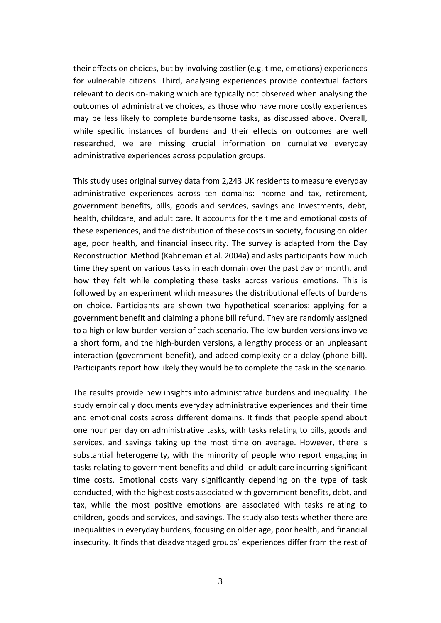their effects on choices, but by involving costlier (e.g. time, emotions) experiences for vulnerable citizens. Third, analysing experiences provide contextual factors relevant to decision-making which are typically not observed when analysing the outcomes of administrative choices, as those who have more costly experiences may be less likely to complete burdensome tasks, as discussed above. Overall, while specific instances of burdens and their effects on outcomes are well researched, we are missing crucial information on cumulative everyday administrative experiences across population groups.

This study uses original survey data from 2,243 UK residents to measure everyday administrative experiences across ten domains: income and tax, retirement, government benefits, bills, goods and services, savings and investments, debt, health, childcare, and adult care. It accounts for the time and emotional costs of these experiences, and the distribution of these costs in society, focusing on older age, poor health, and financial insecurity. The survey is adapted from the Day Reconstruction Method (Kahneman et al. 2004a) and asks participants how much time they spent on various tasks in each domain over the past day or month, and how they felt while completing these tasks across various emotions. This is followed by an experiment which measures the distributional effects of burdens on choice. Participants are shown two hypothetical scenarios: applying for a government benefit and claiming a phone bill refund. They are randomly assigned to a high or low-burden version of each scenario. The low-burden versions involve a short form, and the high-burden versions, a lengthy process or an unpleasant interaction (government benefit), and added complexity or a delay (phone bill). Participants report how likely they would be to complete the task in the scenario.

The results provide new insights into administrative burdens and inequality. The study empirically documents everyday administrative experiences and their time and emotional costs across different domains. It finds that people spend about one hour per day on administrative tasks, with tasks relating to bills, goods and services, and savings taking up the most time on average. However, there is substantial heterogeneity, with the minority of people who report engaging in tasks relating to government benefits and child- or adult care incurring significant time costs. Emotional costs vary significantly depending on the type of task conducted, with the highest costs associated with government benefits, debt, and tax, while the most positive emotions are associated with tasks relating to children, goods and services, and savings. The study also tests whether there are inequalities in everyday burdens, focusing on older age, poor health, and financial insecurity. It finds that disadvantaged groups' experiences differ from the rest of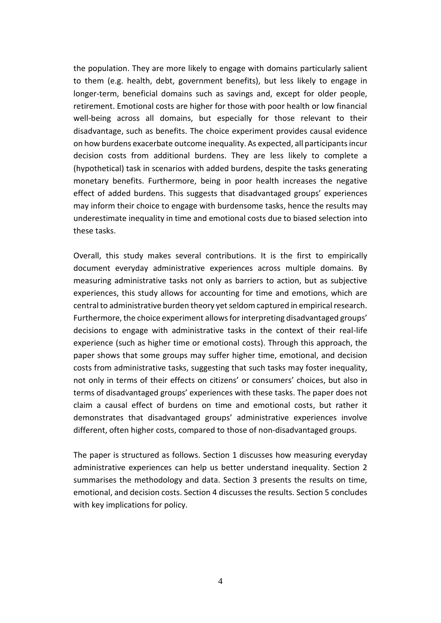the population. They are more likely to engage with domains particularly salient to them (e.g. health, debt, government benefits), but less likely to engage in longer-term, beneficial domains such as savings and, except for older people, retirement. Emotional costs are higher for those with poor health or low financial well-being across all domains, but especially for those relevant to their disadvantage, such as benefits. The choice experiment provides causal evidence on how burdens exacerbate outcome inequality. As expected, all participants incur decision costs from additional burdens. They are less likely to complete a (hypothetical) task in scenarios with added burdens, despite the tasks generating monetary benefits. Furthermore, being in poor health increases the negative effect of added burdens. This suggests that disadvantaged groups' experiences may inform their choice to engage with burdensome tasks, hence the results may underestimate inequality in time and emotional costs due to biased selection into these tasks.

Overall, this study makes several contributions. It is the first to empirically document everyday administrative experiences across multiple domains. By measuring administrative tasks not only as barriers to action, but as subjective experiences, this study allows for accounting for time and emotions, which are central to administrative burden theory yet seldom captured in empirical research. Furthermore, the choice experiment allows for interpreting disadvantaged groups' decisions to engage with administrative tasks in the context of their real-life experience (such as higher time or emotional costs). Through this approach, the paper shows that some groups may suffer higher time, emotional, and decision costs from administrative tasks, suggesting that such tasks may foster inequality, not only in terms of their effects on citizens' or consumers' choices, but also in terms of disadvantaged groups' experiences with these tasks. The paper does not claim a causal effect of burdens on time and emotional costs, but rather it demonstrates that disadvantaged groups' administrative experiences involve different, often higher costs, compared to those of non-disadvantaged groups.

The paper is structured as follows. Section 1 discusses how measuring everyday administrative experiences can help us better understand inequality. Section 2 summarises the methodology and data. Section 3 presents the results on time, emotional, and decision costs. Section 4 discusses the results. Section 5 concludes with key implications for policy.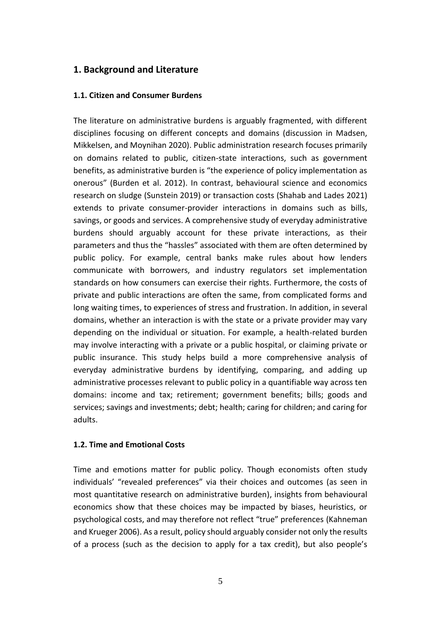# **1. Background and Literature**

### **1.1. Citizen and Consumer Burdens**

The literature on administrative burdens is arguably fragmented, with different disciplines focusing on different concepts and domains (discussion in Madsen, Mikkelsen, and Moynihan 2020). Public administration research focuses primarily on domains related to public, citizen-state interactions, such as government benefits, as administrative burden is "the experience of policy implementation as onerous" (Burden et al. 2012). In contrast, behavioural science and economics research on sludge (Sunstein 2019) or transaction costs (Shahab and Lades 2021) extends to private consumer-provider interactions in domains such as bills, savings, or goods and services. A comprehensive study of everyday administrative burdens should arguably account for these private interactions, as their parameters and thus the "hassles" associated with them are often determined by public policy. For example, central banks make rules about how lenders communicate with borrowers, and industry regulators set implementation standards on how consumers can exercise their rights. Furthermore, the costs of private and public interactions are often the same, from complicated forms and long waiting times, to experiences of stress and frustration. In addition, in several domains, whether an interaction is with the state or a private provider may vary depending on the individual or situation. For example, a health-related burden may involve interacting with a private or a public hospital, or claiming private or public insurance. This study helps build a more comprehensive analysis of everyday administrative burdens by identifying, comparing, and adding up administrative processes relevant to public policy in a quantifiable way across ten domains: income and tax; retirement; government benefits; bills; goods and services; savings and investments; debt; health; caring for children; and caring for adults.

#### **1.2. Time and Emotional Costs**

Time and emotions matter for public policy. Though economists often study individuals' "revealed preferences" via their choices and outcomes (as seen in most quantitative research on administrative burden), insights from behavioural economics show that these choices may be impacted by biases, heuristics, or psychological costs, and may therefore not reflect "true" preferences (Kahneman and Krueger 2006). As a result, policy should arguably consider not only the results of a process (such as the decision to apply for a tax credit), but also people's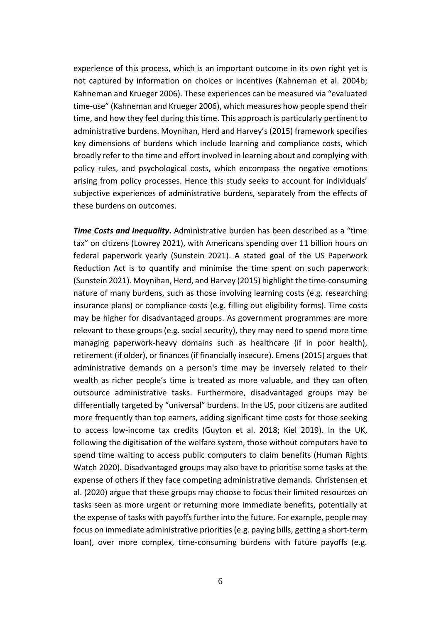experience of this process, which is an important outcome in its own right yet is not captured by information on choices or incentives (Kahneman et al. 2004b; Kahneman and Krueger 2006). These experiences can be measured via "evaluated time-use" (Kahneman and Krueger 2006), which measures how people spend their time, and how they feel during this time. This approach is particularly pertinent to administrative burdens. Moynihan, Herd and Harvey's (2015) framework specifies key dimensions of burdens which include learning and compliance costs, which broadly refer to the time and effort involved in learning about and complying with policy rules, and psychological costs, which encompass the negative emotions arising from policy processes. Hence this study seeks to account for individuals' subjective experiences of administrative burdens, separately from the effects of these burdens on outcomes.

*Time Costs and Inequality***.** Administrative burden has been described as a "time tax" on citizens (Lowrey 2021), with Americans spending over 11 billion hours on federal paperwork yearly (Sunstein 2021). A stated goal of the US Paperwork Reduction Act is to quantify and minimise the time spent on such paperwork (Sunstein 2021). Moynihan, Herd, and Harvey (2015) highlight the time-consuming nature of many burdens, such as those involving learning costs (e.g. researching insurance plans) or compliance costs (e.g. filling out eligibility forms). Time costs may be higher for disadvantaged groups. As government programmes are more relevant to these groups (e.g. social security), they may need to spend more time managing paperwork-heavy domains such as healthcare (if in poor health), retirement (if older), or finances (if financially insecure). Emens (2015) argues that administrative demands on a person's time may be inversely related to their wealth as richer people's time is treated as more valuable, and they can often outsource administrative tasks. Furthermore, disadvantaged groups may be differentially targeted by "universal" burdens. In the US, poor citizens are audited more frequently than top earners, adding significant time costs for those seeking to access low-income tax credits (Guyton et al. 2018; Kiel 2019). In the UK, following the digitisation of the welfare system, those without computers have to spend time waiting to access public computers to claim benefits (Human Rights Watch 2020). Disadvantaged groups may also have to prioritise some tasks at the expense of others if they face competing administrative demands. Christensen et al. (2020) argue that these groups may choose to focus their limited resources on tasks seen as more urgent or returning more immediate benefits, potentially at the expense of tasks with payoffs further into the future. For example, people may focus on immediate administrative priorities (e.g. paying bills, getting a short-term loan), over more complex, time-consuming burdens with future payoffs (e.g.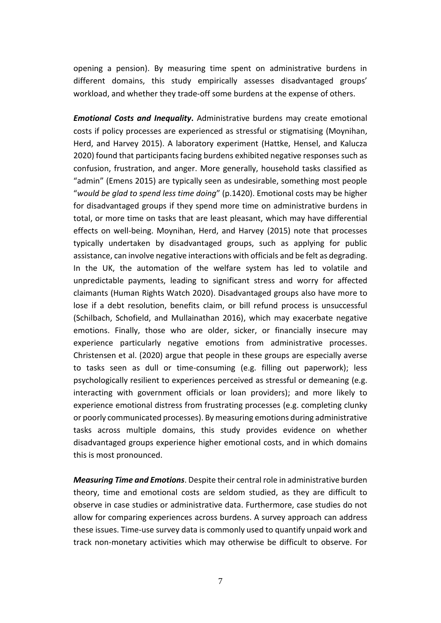opening a pension). By measuring time spent on administrative burdens in different domains, this study empirically assesses disadvantaged groups' workload, and whether they trade-off some burdens at the expense of others.

*Emotional Costs and Inequality***.** Administrative burdens may create emotional costs if policy processes are experienced as stressful or stigmatising (Moynihan, Herd, and Harvey 2015). A laboratory experiment (Hattke, Hensel, and Kalucza 2020) found that participants facing burdens exhibited negative responses such as confusion, frustration, and anger. More generally, household tasks classified as "admin" (Emens 2015) are typically seen as undesirable, something most people "*would be glad to spend less time doing*" (p.1420). Emotional costs may be higher for disadvantaged groups if they spend more time on administrative burdens in total, or more time on tasks that are least pleasant, which may have differential effects on well-being. Moynihan, Herd, and Harvey (2015) note that processes typically undertaken by disadvantaged groups, such as applying for public assistance, can involve negative interactions with officials and be felt as degrading. In the UK, the automation of the welfare system has led to volatile and unpredictable payments, leading to significant stress and worry for affected claimants (Human Rights Watch 2020). Disadvantaged groups also have more to lose if a debt resolution, benefits claim, or bill refund process is unsuccessful (Schilbach, Schofield, and Mullainathan 2016), which may exacerbate negative emotions. Finally, those who are older, sicker, or financially insecure may experience particularly negative emotions from administrative processes. Christensen et al. (2020) argue that people in these groups are especially averse to tasks seen as dull or time-consuming (e.g. filling out paperwork); less psychologically resilient to experiences perceived as stressful or demeaning (e.g. interacting with government officials or loan providers); and more likely to experience emotional distress from frustrating processes (e.g. completing clunky or poorly communicated processes). By measuring emotions during administrative tasks across multiple domains, this study provides evidence on whether disadvantaged groups experience higher emotional costs, and in which domains this is most pronounced.

*Measuring Time and Emotions*. Despite their central role in administrative burden theory, time and emotional costs are seldom studied, as they are difficult to observe in case studies or administrative data. Furthermore, case studies do not allow for comparing experiences across burdens. A survey approach can address these issues. Time-use survey data is commonly used to quantify unpaid work and track non-monetary activities which may otherwise be difficult to observe. For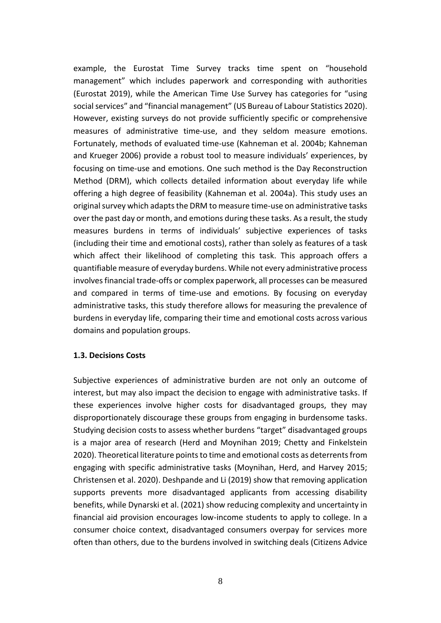example, the Eurostat Time Survey tracks time spent on "household management" which includes paperwork and corresponding with authorities (Eurostat 2019), while the American Time Use Survey has categories for "using social services" and "financial management" (US Bureau of Labour Statistics 2020). However, existing surveys do not provide sufficiently specific or comprehensive measures of administrative time-use, and they seldom measure emotions. Fortunately, methods of evaluated time-use (Kahneman et al. 2004b; Kahneman and Krueger 2006) provide a robust tool to measure individuals' experiences, by focusing on time-use and emotions. One such method is the Day Reconstruction Method (DRM), which collects detailed information about everyday life while offering a high degree of feasibility (Kahneman et al. 2004a). This study uses an original survey which adapts the DRM to measure time-use on administrative tasks over the past day or month, and emotions during these tasks. As a result, the study measures burdens in terms of individuals' subjective experiences of tasks (including their time and emotional costs), rather than solely as features of a task which affect their likelihood of completing this task. This approach offers a quantifiable measure of everyday burdens. While not every administrative process involves financial trade-offs or complex paperwork, all processes can be measured and compared in terms of time-use and emotions. By focusing on everyday administrative tasks, this study therefore allows for measuring the prevalence of burdens in everyday life, comparing their time and emotional costs across various domains and population groups.

#### **1.3. Decisions Costs**

Subjective experiences of administrative burden are not only an outcome of interest, but may also impact the decision to engage with administrative tasks. If these experiences involve higher costs for disadvantaged groups, they may disproportionately discourage these groups from engaging in burdensome tasks. Studying decision costs to assess whether burdens "target" disadvantaged groups is a major area of research (Herd and Moynihan 2019; Chetty and Finkelstein 2020). Theoretical literature points to time and emotional costs as deterrents from engaging with specific administrative tasks (Moynihan, Herd, and Harvey 2015; Christensen et al. 2020). Deshpande and Li (2019) show that removing application supports prevents more disadvantaged applicants from accessing disability benefits, while Dynarski et al. (2021) show reducing complexity and uncertainty in financial aid provision encourages low-income students to apply to college. In a consumer choice context, disadvantaged consumers overpay for services more often than others, due to the burdens involved in switching deals (Citizens Advice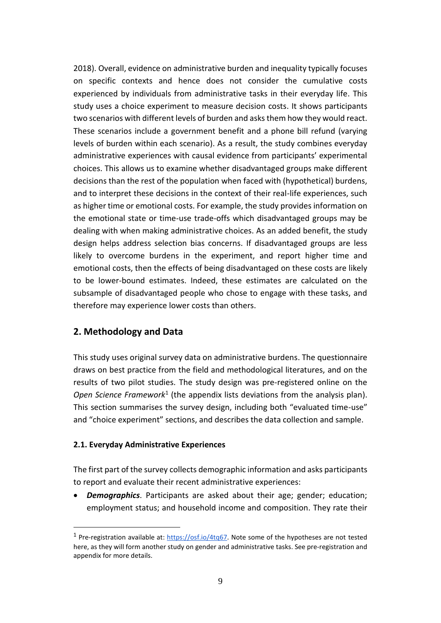2018). Overall, evidence on administrative burden and inequality typically focuses on specific contexts and hence does not consider the cumulative costs experienced by individuals from administrative tasks in their everyday life. This study uses a choice experiment to measure decision costs. It shows participants two scenarios with different levels of burden and asksthem how they would react. These scenarios include a government benefit and a phone bill refund (varying levels of burden within each scenario). As a result, the study combines everyday administrative experiences with causal evidence from participants' experimental choices. This allows us to examine whether disadvantaged groups make different decisions than the rest of the population when faced with (hypothetical) burdens, and to interpret these decisions in the context of their real-life experiences, such as higher time or emotional costs. For example, the study provides information on the emotional state or time-use trade-offs which disadvantaged groups may be dealing with when making administrative choices. As an added benefit, the study design helps address selection bias concerns. If disadvantaged groups are less likely to overcome burdens in the experiment, and report higher time and emotional costs, then the effects of being disadvantaged on these costs are likely to be lower-bound estimates. Indeed, these estimates are calculated on the subsample of disadvantaged people who chose to engage with these tasks, and therefore may experience lower costs than others.

# **2. Methodology and Data**

This study uses original survey data on administrative burdens. The questionnaire draws on best practice from the field and methodological literatures, and on the results of two pilot studies. The study design was pre-registered online on the Open Science Framework<sup>1</sup> (the appendix lists deviations from the analysis plan). This section summarises the survey design, including both "evaluated time-use" and "choice experiment" sections, and describes the data collection and sample.

#### **2.1. Everyday Administrative Experiences**

The first part of the survey collects demographic information and asks participants to report and evaluate their recent administrative experiences:

• *Demographics*. Participants are asked about their age; gender; education; employment status; and household income and composition. They rate their

<sup>&</sup>lt;sup>1</sup> Pre-registration available at: [https://osf.io/4tq67.](https://osf.io/4tq67) Note some of the hypotheses are not tested here, as they will form another study on gender and administrative tasks. See pre-registration and appendix for more details.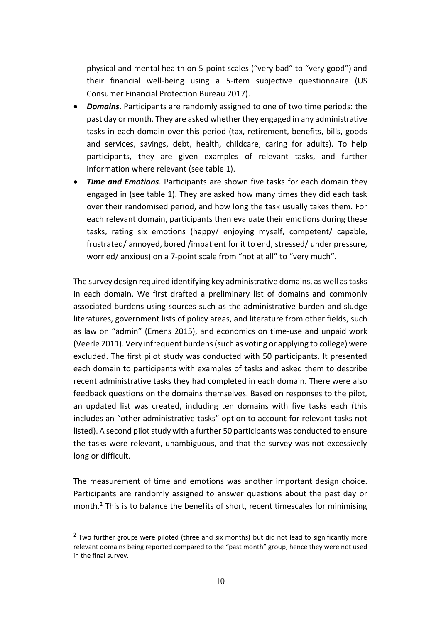physical and mental health on 5-point scales ("very bad" to "very good") and their financial well-being using a 5-item subjective questionnaire (US Consumer Financial Protection Bureau 2017).

- *Domains*. Participants are randomly assigned to one of two time periods: the past day or month. They are asked whether they engaged in any administrative tasks in each domain over this period (tax, retirement, benefits, bills, goods and services, savings, debt, health, childcare, caring for adults). To help participants, they are given examples of relevant tasks, and further information where relevant (see table 1).
- *Time and Emotions*. Participants are shown five tasks for each domain they engaged in (see table 1). They are asked how many times they did each task over their randomised period, and how long the task usually takes them. For each relevant domain, participants then evaluate their emotions during these tasks, rating six emotions (happy/ enjoying myself, competent/ capable, frustrated/ annoyed, bored /impatient for it to end, stressed/ under pressure, worried/ anxious) on a 7-point scale from "not at all" to "very much".

The survey design required identifying key administrative domains, as well as tasks in each domain. We first drafted a preliminary list of domains and commonly associated burdens using sources such as the administrative burden and sludge literatures, government lists of policy areas, and literature from other fields, such as law on "admin" (Emens 2015), and economics on time-use and unpaid work (Veerle 2011). Very infrequent burdens (such as voting or applying to college) were excluded. The first pilot study was conducted with 50 participants. It presented each domain to participants with examples of tasks and asked them to describe recent administrative tasks they had completed in each domain. There were also feedback questions on the domains themselves. Based on responses to the pilot, an updated list was created, including ten domains with five tasks each (this includes an "other administrative tasks" option to account for relevant tasks not listed). A second pilot study with a further 50 participants was conducted to ensure the tasks were relevant, unambiguous, and that the survey was not excessively long or difficult.

The measurement of time and emotions was another important design choice. Participants are randomly assigned to answer questions about the past day or month.<sup>2</sup> This is to balance the benefits of short, recent timescales for minimising

 $2$  Two further groups were piloted (three and six months) but did not lead to significantly more relevant domains being reported compared to the "past month" group, hence they were not used in the final survey.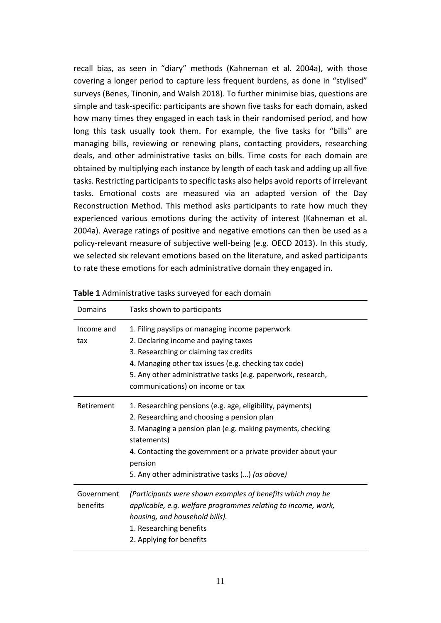recall bias, as seen in "diary" methods (Kahneman et al. 2004a), with those covering a longer period to capture less frequent burdens, as done in "stylised" surveys (Benes, Tinonin, and Walsh 2018). To further minimise bias, questions are simple and task-specific: participants are shown five tasks for each domain, asked how many times they engaged in each task in their randomised period, and how long this task usually took them. For example, the five tasks for "bills" are managing bills, reviewing or renewing plans, contacting providers, researching deals, and other administrative tasks on bills. Time costs for each domain are obtained by multiplying each instance by length of each task and adding up all five tasks. Restricting participants to specific tasks also helps avoid reports of irrelevant tasks. Emotional costs are measured via an adapted version of the Day Reconstruction Method. This method asks participants to rate how much they experienced various emotions during the activity of interest (Kahneman et al. 2004a). Average ratings of positive and negative emotions can then be used as a policy-relevant measure of subjective well-being (e.g. OECD 2013). In this study, we selected six relevant emotions based on the literature, and asked participants to rate these emotions for each administrative domain they engaged in.

| Domains                | Tasks shown to participants                                                                                                                                                                                                                                                                                         |
|------------------------|---------------------------------------------------------------------------------------------------------------------------------------------------------------------------------------------------------------------------------------------------------------------------------------------------------------------|
| Income and<br>tax      | 1. Filing payslips or managing income paperwork<br>2. Declaring income and paying taxes<br>3. Researching or claiming tax credits<br>4. Managing other tax issues (e.g. checking tax code)<br>5. Any other administrative tasks (e.g. paperwork, research,<br>communications) on income or tax                      |
| Retirement             | 1. Researching pensions (e.g. age, eligibility, payments)<br>2. Researching and choosing a pension plan<br>3. Managing a pension plan (e.g. making payments, checking<br>statements)<br>4. Contacting the government or a private provider about your<br>pension<br>5. Any other administrative tasks () (as above) |
| Government<br>benefits | (Participants were shown examples of benefits which may be<br>applicable, e.g. welfare programmes relating to income, work,<br>housing, and household bills).<br>1. Researching benefits<br>2. Applying for benefits                                                                                                |

**Table 1** Administrative tasks surveyed for each domain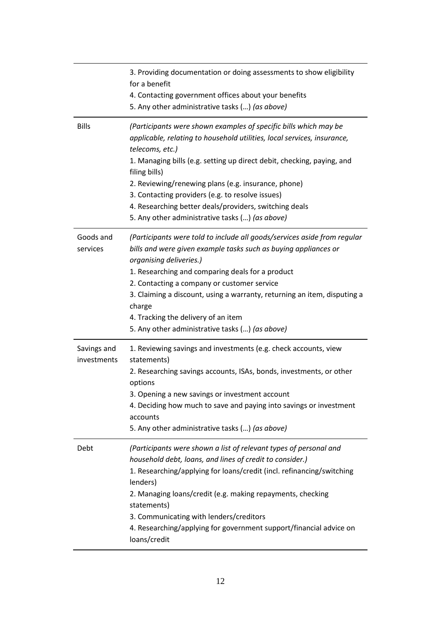|                            | 3. Providing documentation or doing assessments to show eligibility<br>for a benefit<br>4. Contacting government offices about your benefits<br>5. Any other administrative tasks () (as above)                                                                                                                                                                                                                                                                                   |
|----------------------------|-----------------------------------------------------------------------------------------------------------------------------------------------------------------------------------------------------------------------------------------------------------------------------------------------------------------------------------------------------------------------------------------------------------------------------------------------------------------------------------|
| <b>Bills</b>               | (Participants were shown examples of specific bills which may be<br>applicable, relating to household utilities, local services, insurance,<br>telecoms, etc.)<br>1. Managing bills (e.g. setting up direct debit, checking, paying, and<br>filing bills)<br>2. Reviewing/renewing plans (e.g. insurance, phone)<br>3. Contacting providers (e.g. to resolve issues)<br>4. Researching better deals/providers, switching deals<br>5. Any other administrative tasks () (as above) |
| Goods and<br>services      | (Participants were told to include all goods/services aside from regular<br>bills and were given example tasks such as buying appliances or<br>organising deliveries.)<br>1. Researching and comparing deals for a product<br>2. Contacting a company or customer service<br>3. Claiming a discount, using a warranty, returning an item, disputing a<br>charge<br>4. Tracking the delivery of an item<br>5. Any other administrative tasks () (as above)                         |
| Savings and<br>investments | 1. Reviewing savings and investments (e.g. check accounts, view<br>statements)<br>2. Researching savings accounts, ISAs, bonds, investments, or other<br>options<br>3. Opening a new savings or investment account<br>4. Deciding how much to save and paying into savings or investment<br>accounts<br>5. Any other administrative tasks () (as above)                                                                                                                           |
| Debt                       | (Participants were shown a list of relevant types of personal and<br>household debt, loans, and lines of credit to consider.)<br>1. Researching/applying for loans/credit (incl. refinancing/switching<br>lenders)<br>2. Managing loans/credit (e.g. making repayments, checking<br>statements)<br>3. Communicating with lenders/creditors<br>4. Researching/applying for government support/financial advice on<br>loans/credit                                                  |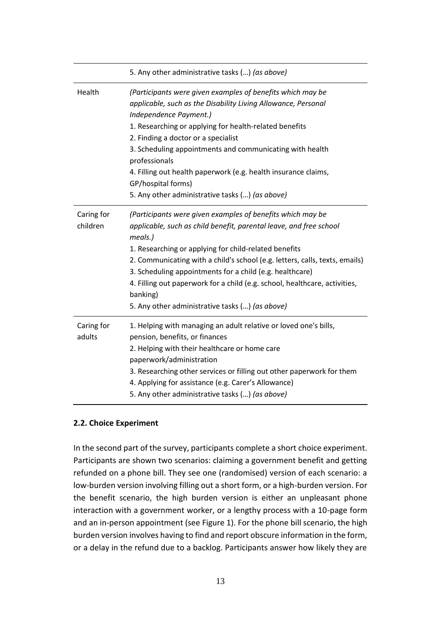|                        | 5. Any other administrative tasks () (as above)                                                                                                                                                                                                                                                                                                                                                                                                                                              |
|------------------------|----------------------------------------------------------------------------------------------------------------------------------------------------------------------------------------------------------------------------------------------------------------------------------------------------------------------------------------------------------------------------------------------------------------------------------------------------------------------------------------------|
| Health                 | (Participants were given examples of benefits which may be<br>applicable, such as the Disability Living Allowance, Personal<br>Independence Payment.)<br>1. Researching or applying for health-related benefits<br>2. Finding a doctor or a specialist<br>3. Scheduling appointments and communicating with health<br>professionals<br>4. Filling out health paperwork (e.g. health insurance claims,<br>GP/hospital forms)<br>5. Any other administrative tasks () (as above)               |
| Caring for<br>children | (Participants were given examples of benefits which may be<br>applicable, such as child benefit, parental leave, and free school<br>meals.)<br>1. Researching or applying for child-related benefits<br>2. Communicating with a child's school (e.g. letters, calls, texts, emails)<br>3. Scheduling appointments for a child (e.g. healthcare)<br>4. Filling out paperwork for a child (e.g. school, healthcare, activities,<br>banking)<br>5. Any other administrative tasks () (as above) |
| Caring for<br>adults   | 1. Helping with managing an adult relative or loved one's bills,<br>pension, benefits, or finances<br>2. Helping with their healthcare or home care<br>paperwork/administration<br>3. Researching other services or filling out other paperwork for them<br>4. Applying for assistance (e.g. Carer's Allowance)<br>5. Any other administrative tasks () (as above)                                                                                                                           |

## **2.2. Choice Experiment**

In the second part of the survey, participants complete a short choice experiment. Participants are shown two scenarios: claiming a government benefit and getting refunded on a phone bill. They see one (randomised) version of each scenario: a low-burden version involving filling out a short form, or a high-burden version. For the benefit scenario, the high burden version is either an unpleasant phone interaction with a government worker, or a lengthy process with a 10-page form and an in-person appointment (see Figure 1). For the phone bill scenario, the high burden version involves having to find and report obscure information in the form, or a delay in the refund due to a backlog. Participants answer how likely they are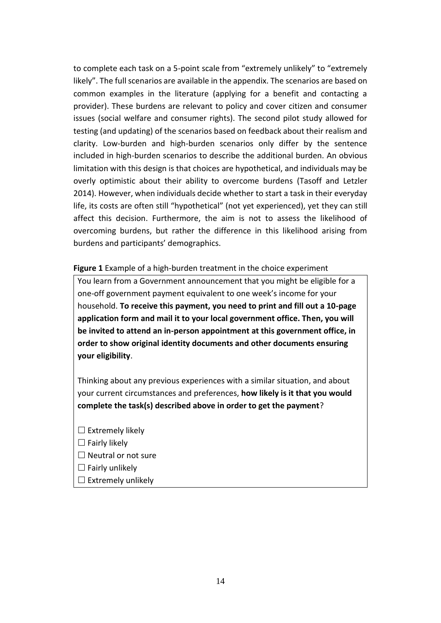to complete each task on a 5-point scale from "extremely unlikely" to "extremely likely". The full scenarios are available in the appendix. The scenarios are based on common examples in the literature (applying for a benefit and contacting a provider). These burdens are relevant to policy and cover citizen and consumer issues (social welfare and consumer rights). The second pilot study allowed for testing (and updating) of the scenarios based on feedback about their realism and clarity. Low-burden and high-burden scenarios only differ by the sentence included in high-burden scenarios to describe the additional burden. An obvious limitation with this design is that choices are hypothetical, and individuals may be overly optimistic about their ability to overcome burdens (Tasoff and Letzler 2014). However, when individuals decide whether to start a task in their everyday life, its costs are often still "hypothetical" (not yet experienced), yet they can still affect this decision. Furthermore, the aim is not to assess the likelihood of overcoming burdens, but rather the difference in this likelihood arising from burdens and participants' demographics.

**Figure 1** Example of a high-burden treatment in the choice experiment

You learn from a Government announcement that you might be eligible for a one-off government payment equivalent to one week's income for your household. **To receive this payment, you need to print and fill out a 10-page application form and mail it to your local government office. Then, you will be invited to attend an in-person appointment at this government office, in order to show original identity documents and other documents ensuring your eligibility**.

Thinking about any previous experiences with a similar situation, and about your current circumstances and preferences, **how likely is it that you would complete the task(s) described above in order to get the payment**?

- $\square$  Extremely likely  $\Box$  Fairly likely  $\Box$  Neutral or not sure  $\Box$  Fairly unlikely
- $\square$  Extremely unlikely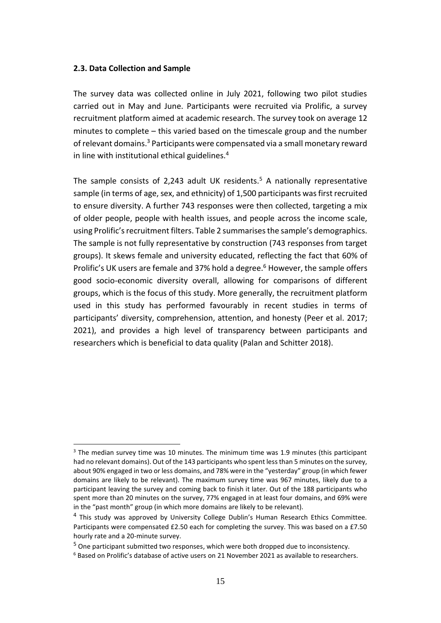#### **2.3. Data Collection and Sample**

The survey data was collected online in July 2021, following two pilot studies carried out in May and June. Participants were recruited via Prolific, a survey recruitment platform aimed at academic research. The survey took on average 12 minutes to complete – this varied based on the timescale group and the number of relevant domains.<sup>3</sup> Participants were compensated via a small monetary reward in line with institutional ethical guidelines.<sup>4</sup>

The sample consists of 2,243 adult UK residents.<sup>5</sup> A nationally representative sample (in terms of age, sex, and ethnicity) of 1,500 participants was first recruited to ensure diversity. A further 743 responses were then collected, targeting a mix of older people, people with health issues, and people across the income scale, using Prolific's recruitment filters. Table 2 summarises the sample's demographics. The sample is not fully representative by construction (743 responses from target groups). It skews female and university educated, reflecting the fact that 60% of Prolific's UK users are female and 37% hold a degree. <sup>6</sup> However, the sample offers good socio-economic diversity overall, allowing for comparisons of different groups, which is the focus of this study. More generally, the recruitment platform used in this study has performed favourably in recent studies in terms of participants' diversity, comprehension, attention, and honesty (Peer et al. 2017; 2021), and provides a high level of transparency between participants and researchers which is beneficial to data quality (Palan and Schitter 2018).

 $3$  The median survey time was 10 minutes. The minimum time was 1.9 minutes (this participant had no relevant domains). Out of the 143 participants who spent less than 5 minutes on the survey, about 90% engaged in two or less domains, and 78% were in the "yesterday" group (in which fewer domains are likely to be relevant). The maximum survey time was 967 minutes, likely due to a participant leaving the survey and coming back to finish it later. Out of the 188 participants who spent more than 20 minutes on the survey, 77% engaged in at least four domains, and 69% were in the "past month" group (in which more domains are likely to be relevant).

<sup>&</sup>lt;sup>4</sup> This study was approved by University College Dublin's Human Research Ethics Committee. Participants were compensated £2.50 each for completing the survey. This was based on a £7.50 hourly rate and a 20-minute survey.

<sup>5</sup> One participant submitted two responses, which were both dropped due to inconsistency.

 $6$  Based on Prolific's database of active users on 21 November 2021 as available to researchers.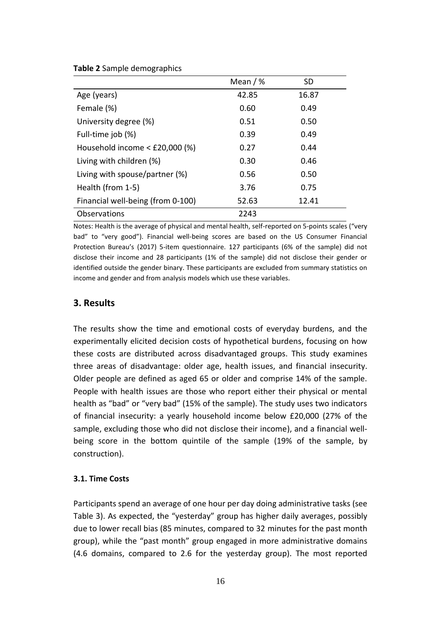|                                     | Mean $/$ % | <b>SD</b> |
|-------------------------------------|------------|-----------|
| Age (years)                         | 42.85      | 16.87     |
| Female (%)                          | 0.60       | 0.49      |
| University degree (%)               | 0.51       | 0.50      |
| Full-time job (%)                   | 0.39       | 0.49      |
| Household income $\leq$ £20,000 (%) | 0.27       | 0.44      |
| Living with children (%)            | 0.30       | 0.46      |
| Living with spouse/partner (%)      | 0.56       | 0.50      |
| Health (from 1-5)                   | 3.76       | 0.75      |
| Financial well-being (from 0-100)   | 52.63      | 12.41     |
| Observations                        | 2243       |           |

Notes: Health is the average of physical and mental health, self-reported on 5-points scales ("very bad" to "very good"). Financial well-being scores are based on the US Consumer Financial Protection Bureau's (2017) 5-item questionnaire. 127 participants (6% of the sample) did not disclose their income and 28 participants (1% of the sample) did not disclose their gender or identified outside the gender binary. These participants are excluded from summary statistics on income and gender and from analysis models which use these variables.

# **3. Results**

**Table 2** Sample demographics

The results show the time and emotional costs of everyday burdens, and the experimentally elicited decision costs of hypothetical burdens, focusing on how these costs are distributed across disadvantaged groups. This study examines three areas of disadvantage: older age, health issues, and financial insecurity. Older people are defined as aged 65 or older and comprise 14% of the sample. People with health issues are those who report either their physical or mental health as "bad" or "very bad" (15% of the sample). The study uses two indicators of financial insecurity: a yearly household income below £20,000 (27% of the sample, excluding those who did not disclose their income), and a financial wellbeing score in the bottom quintile of the sample (19% of the sample, by construction).

#### **3.1. Time Costs**

Participants spend an average of one hour per day doing administrative tasks (see Table 3). As expected, the "yesterday" group has higher daily averages, possibly due to lower recall bias (85 minutes, compared to 32 minutes for the past month group), while the "past month" group engaged in more administrative domains (4.6 domains, compared to 2.6 for the yesterday group). The most reported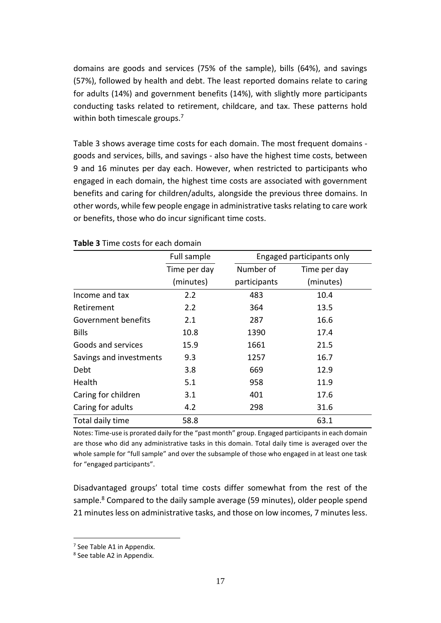domains are goods and services (75% of the sample), bills (64%), and savings (57%), followed by health and debt. The least reported domains relate to caring for adults (14%) and government benefits (14%), with slightly more participants conducting tasks related to retirement, childcare, and tax. These patterns hold within both timescale groups.<sup>7</sup>

Table 3 shows average time costs for each domain. The most frequent domains goods and services, bills, and savings - also have the highest time costs, between 9 and 16 minutes per day each. However, when restricted to participants who engaged in each domain, the highest time costs are associated with government benefits and caring for children/adults, alongside the previous three domains. In other words, while few people engage in administrative tasks relating to care work or benefits, those who do incur significant time costs.

|                         | Full sample  |              | Engaged participants only |
|-------------------------|--------------|--------------|---------------------------|
|                         | Time per day | Number of    | Time per day              |
|                         | (minutes)    | participants | (minutes)                 |
| Income and tax          | 2.2          | 483          | 10.4                      |
| Retirement              | 2.2          | 364          | 13.5                      |
| Government benefits     | 2.1          | 287          | 16.6                      |
| <b>Bills</b>            | 10.8         | 1390         | 17.4                      |
| Goods and services      | 15.9         | 1661         | 21.5                      |
| Savings and investments | 9.3          | 1257         | 16.7                      |
| Debt                    | 3.8          | 669          | 12.9                      |
| Health                  | 5.1          | 958          | 11.9                      |
| Caring for children     | 3.1          | 401          | 17.6                      |
| Caring for adults       | 4.2          | 298          | 31.6                      |
| Total daily time        | 58.8         |              | 63.1                      |

#### **Table 3** Time costs for each domain

Notes: Time-use is prorated daily for the "past month" group. Engaged participants in each domain are those who did any administrative tasks in this domain. Total daily time is averaged over the whole sample for "full sample" and over the subsample of those who engaged in at least one task for "engaged participants".

Disadvantaged groups' total time costs differ somewhat from the rest of the sample.<sup>8</sup> Compared to the daily sample average (59 minutes), older people spend 21 minutes less on administrative tasks, and those on low incomes, 7 minutes less.

<sup>&</sup>lt;sup>7</sup> See Table A1 in Appendix.

<sup>&</sup>lt;sup>8</sup> See table A2 in Appendix.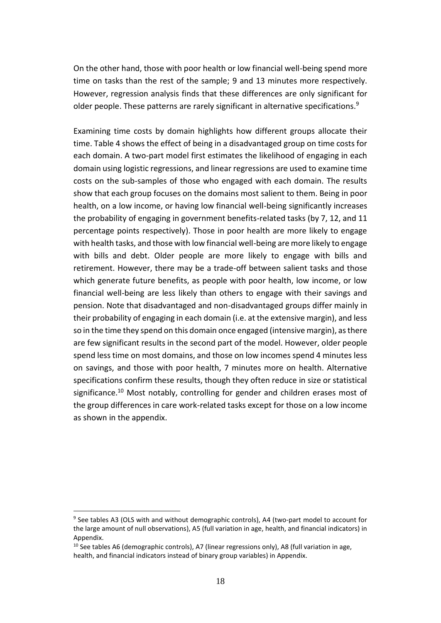On the other hand, those with poor health or low financial well-being spend more time on tasks than the rest of the sample; 9 and 13 minutes more respectively. However, regression analysis finds that these differences are only significant for older people. These patterns are rarely significant in alternative specifications.<sup>9</sup>

Examining time costs by domain highlights how different groups allocate their time. Table 4 shows the effect of being in a disadvantaged group on time costs for each domain. A two-part model first estimates the likelihood of engaging in each domain using logistic regressions, and linear regressions are used to examine time costs on the sub-samples of those who engaged with each domain. The results show that each group focuses on the domains most salient to them. Being in poor health, on a low income, or having low financial well-being significantly increases the probability of engaging in government benefits-related tasks (by 7, 12, and 11 percentage points respectively). Those in poor health are more likely to engage with health tasks, and those with low financial well-being are more likely to engage with bills and debt. Older people are more likely to engage with bills and retirement. However, there may be a trade-off between salient tasks and those which generate future benefits, as people with poor health, low income, or low financial well-being are less likely than others to engage with their savings and pension. Note that disadvantaged and non-disadvantaged groups differ mainly in their probability of engaging in each domain (i.e. at the extensive margin), and less so in the time they spend on this domain once engaged (intensive margin), as there are few significant results in the second part of the model. However, older people spend less time on most domains, and those on low incomes spend 4 minutes less on savings, and those with poor health, 7 minutes more on health. Alternative specifications confirm these results, though they often reduce in size or statistical significance.<sup>10</sup> Most notably, controlling for gender and children erases most of the group differences in care work-related tasks except for those on a low income as shown in the appendix.

<sup>&</sup>lt;sup>9</sup> See tables A3 (OLS with and without demographic controls), A4 (two-part model to account for the large amount of null observations), A5 (full variation in age, health, and financial indicators) in Appendix.

 $10$  See tables A6 (demographic controls), A7 (linear regressions only), A8 (full variation in age, health, and financial indicators instead of binary group variables) in Appendix.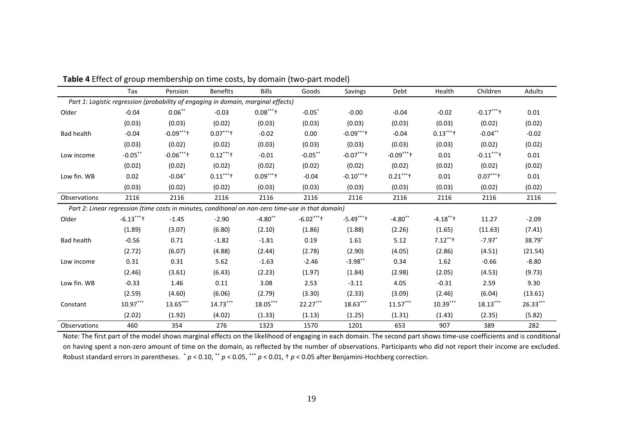|                   | Tax        | Pension                                                                                            | <b>Benefits</b> | <b>Bills</b> | Goods                | Savings    | Debt       | Health      | Children             | Adults   |
|-------------------|------------|----------------------------------------------------------------------------------------------------|-----------------|--------------|----------------------|------------|------------|-------------|----------------------|----------|
|                   |            | Part 1: Logistic regression (probability of engaging in domain, marginal effects)                  |                 |              |                      |            |            |             |                      |          |
| Older             | $-0.04$    | $0.06***$                                                                                          | $-0.03$         | $0.08***$    | $-0.05$ <sup>*</sup> | $-0.00$    | $-0.04$    | $-0.02$     | $-0.17***$           | 0.01     |
|                   | (0.03)     | (0.03)                                                                                             | (0.02)          | (0.03)       | (0.03)               | (0.03)     | (0.03)     | (0.03)      | (0.02)               | (0.02)   |
| <b>Bad health</b> | $-0.04$    | $-0.09***$                                                                                         | $0.07***$       | $-0.02$      | 0.00                 | $-0.09***$ | $-0.04$    | $0.13***$   | $-0.04**$            | $-0.02$  |
|                   | (0.03)     | (0.02)                                                                                             | (0.02)          | (0.03)       | (0.03)               | (0.03)     | (0.03)     | (0.03)      | (0.02)               | (0.02)   |
| Low income        | $-0.05***$ | $-0.06***$                                                                                         | $0.12***$       | $-0.01$      | $-0.05***$           | $-0.07***$ | $-0.09***$ | 0.01        | $-0.11***$           | 0.01     |
|                   | (0.02)     | (0.02)                                                                                             | (0.02)          | (0.02)       | (0.02)               | (0.02)     | (0.02)     | (0.02)      | (0.02)               | (0.02)   |
| Low fin. WB       | 0.02       | $-0.04*$                                                                                           | $0.11***$       | $0.09***$    | $-0.04$              | $-0.10***$ | $0.21***$  | 0.01        | $0.07***$            | 0.01     |
|                   | (0.03)     | (0.02)                                                                                             | (0.02)          | (0.03)       | (0.03)               | (0.03)     | (0.03)     | (0.03)      | (0.02)               | (0.02)   |
| Observations      | 2116       | 2116                                                                                               | 2116            | 2116         | 2116                 | 2116       | 2116       | 2116        | 2116                 | 2116     |
|                   |            | Part 2: Linear regression (time costs in minutes, conditional on non-zero time-use in that domain) |                 |              |                      |            |            |             |                      |          |
| Older             | $-6.13***$ | $-1.45$                                                                                            | $-2.90$         | $-4.80**$    | $-6.02***$           | $-5.49***$ | $-4.80**$  | $-4.18$ **+ | 11.27                | $-2.09$  |
|                   | (1.89)     | (3.07)                                                                                             | (6.80)          | (2.10)       | (1.86)               | (1.88)     | (2.26)     | (1.65)      | (11.63)              | (7.41)   |
| <b>Bad health</b> | $-0.56$    | 0.71                                                                                               | $-1.82$         | $-1.81$      | 0.19                 | 1.61       | 5.12       | $7.12***$   | $-7.97$ <sup>*</sup> | 38.79*   |
|                   | (2.72)     | (6.07)                                                                                             | (4.88)          | (2.44)       | (2.78)               | (2.90)     | (4.05)     | (2.86)      | (4.51)               | (21.54)  |
| Low income        | 0.31       | 0.31                                                                                               | 5.62            | $-1.63$      | $-2.46$              | $-3.98**$  | 0.34       | 1.62        | $-0.66$              | $-8.80$  |
|                   | (2.46)     | (3.61)                                                                                             | (6.43)          | (2.23)       | (1.97)               | (1.84)     | (2.98)     | (2.05)      | (4.53)               | (9.73)   |
| Low fin. WB       | $-0.33$    | 1.46                                                                                               | 0.11            | 3.08         | 2.53                 | $-3.11$    | 4.05       | $-0.31$     | 2.59                 | 9.30     |
|                   | (2.59)     | (4.60)                                                                                             | (6.06)          | (2.79)       | (3.30)               | (2.33)     | (3.09)     | (2.46)      | (6.04)               | (13.61)  |
| Constant          | $10.97***$ | $13.65***$                                                                                         | $14.73***$      | $18.05***$   | $22.27***$           | $18.63***$ | $11.57***$ | $10.39***$  | $18.13***$           | 26.33*** |
|                   | (2.02)     | (1.92)                                                                                             | (4.02)          | (1.33)       | (1.13)               | (1.25)     | (1.31)     | (1.43)      | (2.35)               | (5.82)   |
| Observations      | 460        | 354                                                                                                | 276             | 1323         | 1570                 | 1201       | 653        | 907         | 389                  | 282      |

**Table 4** Effect of group membership on time costs, by domain (two-part model)

Note: The first part of the model shows marginal effects on the likelihood of engaging in each domain. The second part shows time-use coefficients and is conditional on having spent a non-zero amount of time on the domain, as reflected by the number of observations. Participants who did not report their income are excluded. Robust standard errors in parentheses. \* *p* < 0.10, \*\* *p* < 0.05, \*\*\* *p* < 0.01, † *p* < 0.05 after Benjamini-Hochberg correction.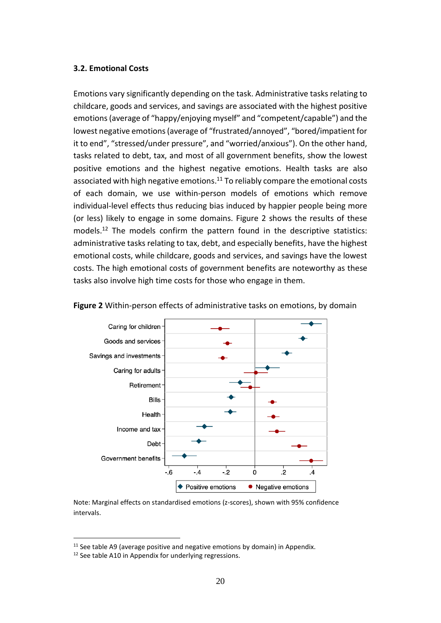#### **3.2. Emotional Costs**

Emotions vary significantly depending on the task. Administrative tasks relating to childcare, goods and services, and savings are associated with the highest positive emotions (average of "happy/enjoying myself" and "competent/capable") and the lowest negative emotions (average of "frustrated/annoyed", "bored/impatient for it to end", "stressed/under pressure", and "worried/anxious"). On the other hand, tasks related to debt, tax, and most of all government benefits, show the lowest positive emotions and the highest negative emotions. Health tasks are also associated with high negative emotions.<sup>11</sup> To reliably compare the emotional costs of each domain, we use within-person models of emotions which remove individual-level effects thus reducing bias induced by happier people being more (or less) likely to engage in some domains. Figure 2 shows the results of these models.<sup>12</sup> The models confirm the pattern found in the descriptive statistics: administrative tasks relating to tax, debt, and especially benefits, have the highest emotional costs, while childcare, goods and services, and savings have the lowest costs. The high emotional costs of government benefits are noteworthy as these tasks also involve high time costs for those who engage in them.



**Figure 2** Within-person effects of administrative tasks on emotions, by domain

Note: Marginal effects on standardised emotions (z-scores), shown with 95% confidence intervals.

 $11$  See table A9 (average positive and negative emotions by domain) in Appendix.

<sup>&</sup>lt;sup>12</sup> See table A10 in Appendix for underlying regressions.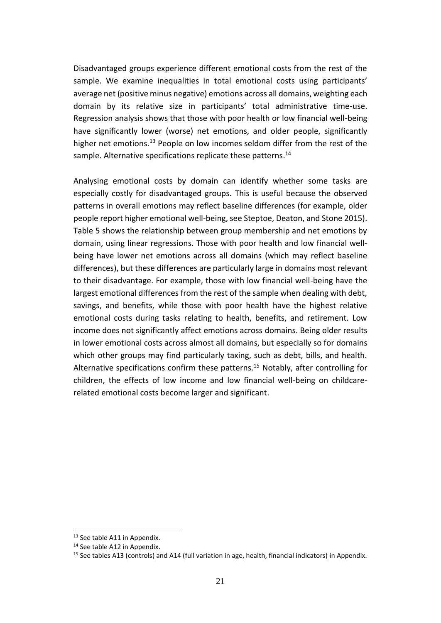Disadvantaged groups experience different emotional costs from the rest of the sample. We examine inequalities in total emotional costs using participants' average net (positive minus negative) emotions across all domains, weighting each domain by its relative size in participants' total administrative time-use. Regression analysis shows that those with poor health or low financial well-being have significantly lower (worse) net emotions, and older people, significantly higher net emotions.<sup>13</sup> People on low incomes seldom differ from the rest of the sample. Alternative specifications replicate these patterns.<sup>14</sup>

Analysing emotional costs by domain can identify whether some tasks are especially costly for disadvantaged groups. This is useful because the observed patterns in overall emotions may reflect baseline differences (for example, older people report higher emotional well-being, see Steptoe, Deaton, and Stone 2015). Table 5 shows the relationship between group membership and net emotions by domain, using linear regressions. Those with poor health and low financial wellbeing have lower net emotions across all domains (which may reflect baseline differences), but these differences are particularly large in domains most relevant to their disadvantage. For example, those with low financial well-being have the largest emotional differences from the rest of the sample when dealing with debt, savings, and benefits, while those with poor health have the highest relative emotional costs during tasks relating to health, benefits, and retirement. Low income does not significantly affect emotions across domains. Being older results in lower emotional costs across almost all domains, but especially so for domains which other groups may find particularly taxing, such as debt, bills, and health. Alternative specifications confirm these patterns.<sup>15</sup> Notably, after controlling for children, the effects of low income and low financial well-being on childcarerelated emotional costs become larger and significant.

<sup>&</sup>lt;sup>13</sup> See table A11 in Appendix.

<sup>&</sup>lt;sup>14</sup> See table A12 in Appendix.

<sup>&</sup>lt;sup>15</sup> See tables A13 (controls) and A14 (full variation in age, health, financial indicators) in Appendix.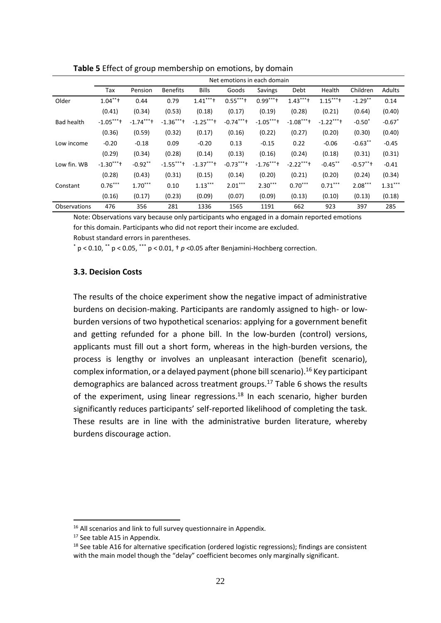|                   | Net emotions in each domain |            |                 |            |            |            |            |            |            |                      |
|-------------------|-----------------------------|------------|-----------------|------------|------------|------------|------------|------------|------------|----------------------|
|                   | Tax                         | Pension    | <b>Benefits</b> | Bills      | Goods      | Savings    | Debt       | Health     | Children   | Adults               |
| Older             | $1.04***$                   | 0.44       | 0.79            | $1.41***$  | $0.55***$  | $0.99***$  | $1.43***$  | $1.15***$  | $-1.29$ ** | 0.14                 |
|                   | (0.41)                      | (0.34)     | (0.53)          | (0.18)     | (0.17)     | (0.19)     | (0.28)     | (0.21)     | (0.64)     | (0.40)               |
| <b>Bad health</b> | $-1.05***$                  | $-1.74***$ | $-1.36***$      | $-1.25***$ | $-0.74***$ | $-1.05***$ | $-1.08***$ | $-1.22***$ | $-0.50*$   | $-0.67$ <sup>*</sup> |
|                   | (0.36)                      | (0.59)     | (0.32)          | (0.17)     | (0.16)     | (0.22)     | (0.27)     | (0.20)     | (0.30)     | (0.40)               |
| Low income        | $-0.20$                     | $-0.18$    | 0.09            | $-0.20$    | 0.13       | $-0.15$    | 0.22       | $-0.06$    | $-0.63**$  | $-0.45$              |
|                   | (0.29)                      | (0.34)     | (0.28)          | (0.14)     | (0.13)     | (0.16)     | (0.24)     | (0.18)     | (0.31)     | (0.31)               |
| Low fin. WB       | $-1.30***$                  | $-0.92**$  | $-1.55***$      | $-1.37***$ | $-0.73***$ | $-1.76***$ | $-2.22***$ | $-0.45***$ | $-0.57***$ | $-0.41$              |
|                   | (0.28)                      | (0.43)     | (0.31)          | (0.15)     | (0.14)     | (0.20)     | (0.21)     | (0.20)     | (0.24)     | (0.34)               |
| Constant          | $0.76***$                   | $1.70***$  | 0.10            | $1.13***$  | $2.01***$  | $2.30***$  | $0.70***$  | $0.71***$  | $2.08***$  | $1.31***$            |
|                   | (0.16)                      | (0.17)     | (0.23)          | (0.09)     | (0.07)     | (0.09)     | (0.13)     | (0.10)     | (0.13)     | (0.18)               |
| Observations      | 476                         | 356        | 281             | 1336       | 1565       | 1191       | 662        | 923        | 397        | 285                  |

**Table 5** Effect of group membership on emotions, by domain

Note: Observations vary because only participants who engaged in a domain reported emotions for this domain. Participants who did not report their income are excluded.

Robust standard errors in parentheses.

 $p$  < 0.10,  $p$  + p < 0.05,  $p$  + p < 0.01,  $p$  < 0.05 after Benjamini-Hochberg correction.

#### **3.3. Decision Costs**

The results of the choice experiment show the negative impact of administrative burdens on decision-making. Participants are randomly assigned to high- or lowburden versions of two hypothetical scenarios: applying for a government benefit and getting refunded for a phone bill. In the low-burden (control) versions, applicants must fill out a short form, whereas in the high-burden versions, the process is lengthy or involves an unpleasant interaction (benefit scenario), complex information, or a delayed payment (phone bill scenario).<sup>16</sup> Key participant demographics are balanced across treatment groups.<sup>17</sup> Table 6 shows the results of the experiment, using linear regressions.<sup>18</sup> In each scenario, higher burden significantly reduces participants' self-reported likelihood of completing the task. These results are in line with the administrative burden literature, whereby burdens discourage action.

<sup>&</sup>lt;sup>16</sup> All scenarios and link to full survey questionnaire in Appendix.

<sup>&</sup>lt;sup>17</sup> See table A15 in Appendix.

 $18$  See table A16 for alternative specification (ordered logistic regressions); findings are consistent with the main model though the "delay" coefficient becomes only marginally significant.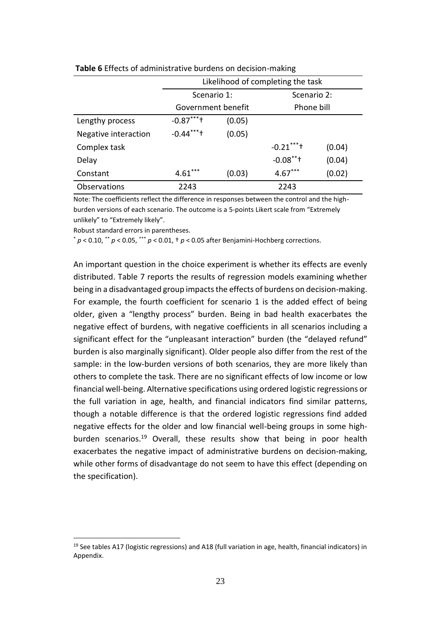|                      |                    | Likelihood of completing the task |             |        |  |  |  |  |
|----------------------|--------------------|-----------------------------------|-------------|--------|--|--|--|--|
|                      | Scenario 1:        |                                   | Scenario 2: |        |  |  |  |  |
|                      | Government benefit |                                   | Phone bill  |        |  |  |  |  |
| Lengthy process      | $-0.87***$         | (0.05)                            |             |        |  |  |  |  |
| Negative interaction | $-0.44***$         | (0.05)                            |             |        |  |  |  |  |
| Complex task         |                    |                                   | $-0.21***$  | (0.04) |  |  |  |  |
| Delay                |                    |                                   | $-0.08$ **+ | (0.04) |  |  |  |  |
| Constant             | $4.61***$          | (0.03)                            | $4.67***$   | (0.02) |  |  |  |  |
| Observations         | 2243               |                                   | 2243        |        |  |  |  |  |

**Table 6** Effects of administrative burdens on decision-making

Note: The coefficients reflect the difference in responses between the control and the highburden versions of each scenario. The outcome is a 5-points Likert scale from "Extremely unlikely" to "Extremely likely".

Robust standard errors in parentheses.

 $p$  < 0.10,  $\cdot$   $p$  < 0.05,  $\cdot$   $\cdot$   $p$  < 0.01,  $\cdot$   $p$  < 0.05 after Benjamini-Hochberg corrections.

An important question in the choice experiment is whether its effects are evenly distributed. Table 7 reports the results of regression models examining whether being in a disadvantaged group impacts the effects of burdens on decision-making. For example, the fourth coefficient for scenario 1 is the added effect of being older, given a "lengthy process" burden. Being in bad health exacerbates the negative effect of burdens, with negative coefficients in all scenarios including a significant effect for the "unpleasant interaction" burden (the "delayed refund" burden is also marginally significant). Older people also differ from the rest of the sample: in the low-burden versions of both scenarios, they are more likely than others to complete the task. There are no significant effects of low income or low financial well-being. Alternative specifications using ordered logistic regressions or the full variation in age, health, and financial indicators find similar patterns, though a notable difference is that the ordered logistic regressions find added negative effects for the older and low financial well-being groups in some highburden scenarios. <sup>19</sup> Overall, these results show that being in poor health exacerbates the negative impact of administrative burdens on decision-making, while other forms of disadvantage do not seem to have this effect (depending on the specification).

<sup>&</sup>lt;sup>19</sup> See tables A17 (logistic regressions) and A18 (full variation in age, health, financial indicators) in Appendix.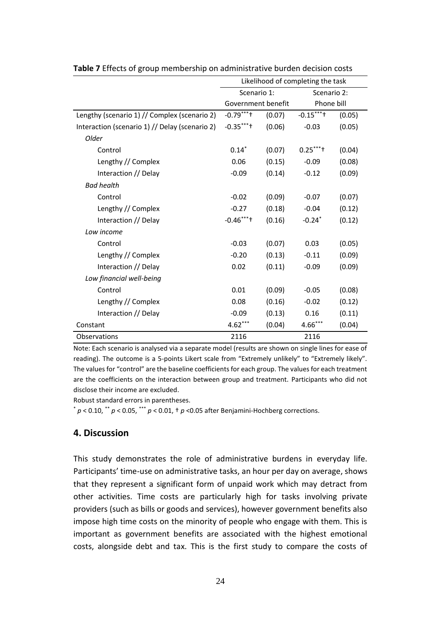|                                                | Likelihood of completing the task |        |                      |        |  |
|------------------------------------------------|-----------------------------------|--------|----------------------|--------|--|
|                                                | Scenario 1:                       |        | Scenario 2:          |        |  |
|                                                | Government benefit                |        | Phone bill           |        |  |
| Lengthy (scenario 1) // Complex (scenario 2)   | $-0.79***$                        | (0.07) | $-0.15***$           | (0.05) |  |
| Interaction (scenario 1) // Delay (scenario 2) | $-0.35***$                        | (0.06) | $-0.03$              | (0.05) |  |
| Older                                          |                                   |        |                      |        |  |
| Control                                        | $0.14*$                           | (0.07) | $0.25***$            | (0.04) |  |
| Lengthy // Complex                             | 0.06                              | (0.15) | $-0.09$              | (0.08) |  |
| Interaction // Delay                           | $-0.09$                           | (0.14) | $-0.12$              | (0.09) |  |
| <b>Bad health</b>                              |                                   |        |                      |        |  |
| Control                                        | $-0.02$                           | (0.09) | $-0.07$              | (0.07) |  |
| Lengthy // Complex                             | $-0.27$                           | (0.18) | $-0.04$              | (0.12) |  |
| Interaction // Delay                           | $-0.46***$                        | (0.16) | $-0.24$ <sup>*</sup> | (0.12) |  |
| Low income                                     |                                   |        |                      |        |  |
| Control                                        | $-0.03$                           | (0.07) | 0.03                 | (0.05) |  |
| Lengthy // Complex                             | $-0.20$                           | (0.13) | $-0.11$              | (0.09) |  |
| Interaction // Delay                           | 0.02                              | (0.11) | $-0.09$              | (0.09) |  |
| Low financial well-being                       |                                   |        |                      |        |  |
| Control                                        | 0.01                              | (0.09) | $-0.05$              | (0.08) |  |
| Lengthy // Complex                             | 0.08                              | (0.16) | $-0.02$              | (0.12) |  |
| Interaction // Delay                           | $-0.09$                           | (0.13) | 0.16                 | (0.11) |  |
| Constant                                       | $4.62***$                         | (0.04) | $4.66***$            | (0.04) |  |
| Observations                                   | 2116                              |        | 2116                 |        |  |

**Table 7** Effects of group membership on administrative burden decision costs

Note: Each scenario is analysed via a separate model (results are shown on single lines for ease of reading). The outcome is a 5-points Likert scale from "Extremely unlikely" to "Extremely likely". The values for "control" are the baseline coefficients for each group. The values for each treatment are the coefficients on the interaction between group and treatment. Participants who did not disclose their income are excluded.

Robust standard errors in parentheses.

 $p$  < 0.10,  $p$  < 0.05,  $p$  × 0.01,  $p$  < 0.01,  $p$  < 0.05 after Benjamini-Hochberg corrections.

### **4. Discussion**

This study demonstrates the role of administrative burdens in everyday life. Participants' time-use on administrative tasks, an hour per day on average, shows that they represent a significant form of unpaid work which may detract from other activities. Time costs are particularly high for tasks involving private providers (such as bills or goods and services), however government benefits also impose high time costs on the minority of people who engage with them. This is important as government benefits are associated with the highest emotional costs, alongside debt and tax. This is the first study to compare the costs of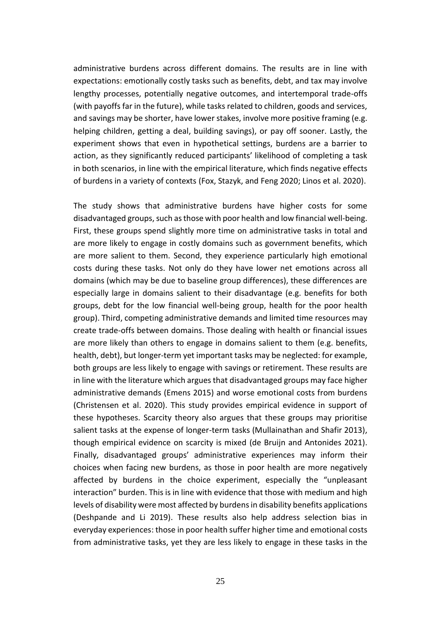administrative burdens across different domains. The results are in line with expectations: emotionally costly tasks such as benefits, debt, and tax may involve lengthy processes, potentially negative outcomes, and intertemporal trade-offs (with payoffs far in the future), while tasks related to children, goods and services, and savings may be shorter, have lower stakes, involve more positive framing (e.g. helping children, getting a deal, building savings), or pay off sooner. Lastly, the experiment shows that even in hypothetical settings, burdens are a barrier to action, as they significantly reduced participants' likelihood of completing a task in both scenarios, in line with the empirical literature, which finds negative effects of burdens in a variety of contexts (Fox, Stazyk, and Feng 2020; Linos et al. 2020).

The study shows that administrative burdens have higher costs for some disadvantaged groups, such as those with poor health and low financial well-being. First, these groups spend slightly more time on administrative tasks in total and are more likely to engage in costly domains such as government benefits, which are more salient to them. Second, they experience particularly high emotional costs during these tasks. Not only do they have lower net emotions across all domains (which may be due to baseline group differences), these differences are especially large in domains salient to their disadvantage (e.g. benefits for both groups, debt for the low financial well-being group, health for the poor health group). Third, competing administrative demands and limited time resources may create trade-offs between domains. Those dealing with health or financial issues are more likely than others to engage in domains salient to them (e.g. benefits, health, debt), but longer-term yet important tasks may be neglected: for example, both groups are less likely to engage with savings or retirement. These results are in line with the literature which argues that disadvantaged groups may face higher administrative demands (Emens 2015) and worse emotional costs from burdens (Christensen et al. 2020). This study provides empirical evidence in support of these hypotheses. Scarcity theory also argues that these groups may prioritise salient tasks at the expense of longer-term tasks (Mullainathan and Shafir 2013), though empirical evidence on scarcity is mixed (de Bruijn and Antonides 2021). Finally, disadvantaged groups' administrative experiences may inform their choices when facing new burdens, as those in poor health are more negatively affected by burdens in the choice experiment, especially the "unpleasant interaction" burden. This is in line with evidence that those with medium and high levels of disability were most affected by burdens in disability benefits applications (Deshpande and Li 2019). These results also help address selection bias in everyday experiences: those in poor health suffer higher time and emotional costs from administrative tasks, yet they are less likely to engage in these tasks in the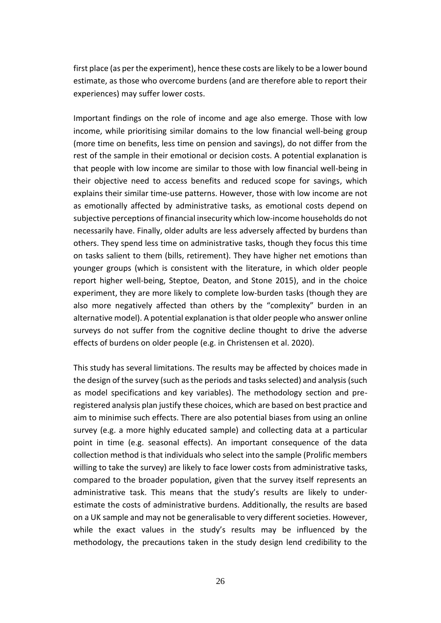first place (as per the experiment), hence these costs are likely to be a lower bound estimate, as those who overcome burdens (and are therefore able to report their experiences) may suffer lower costs.

Important findings on the role of income and age also emerge. Those with low income, while prioritising similar domains to the low financial well-being group (more time on benefits, less time on pension and savings), do not differ from the rest of the sample in their emotional or decision costs. A potential explanation is that people with low income are similar to those with low financial well-being in their objective need to access benefits and reduced scope for savings, which explains their similar time-use patterns. However, those with low income are not as emotionally affected by administrative tasks, as emotional costs depend on subjective perceptions of financial insecurity which low-income households do not necessarily have. Finally, older adults are less adversely affected by burdens than others. They spend less time on administrative tasks, though they focus this time on tasks salient to them (bills, retirement). They have higher net emotions than younger groups (which is consistent with the literature, in which older people report higher well-being, Steptoe, Deaton, and Stone 2015), and in the choice experiment, they are more likely to complete low-burden tasks (though they are also more negatively affected than others by the "complexity" burden in an alternative model). A potential explanation is that older people who answer online surveys do not suffer from the cognitive decline thought to drive the adverse effects of burdens on older people (e.g. in Christensen et al. 2020).

This study has several limitations. The results may be affected by choices made in the design of the survey (such as the periods and tasks selected) and analysis (such as model specifications and key variables). The methodology section and preregistered analysis plan justify these choices, which are based on best practice and aim to minimise such effects. There are also potential biases from using an online survey (e.g. a more highly educated sample) and collecting data at a particular point in time (e.g. seasonal effects). An important consequence of the data collection method is that individuals who select into the sample (Prolific members willing to take the survey) are likely to face lower costs from administrative tasks, compared to the broader population, given that the survey itself represents an administrative task. This means that the study's results are likely to underestimate the costs of administrative burdens. Additionally, the results are based on a UK sample and may not be generalisable to very different societies. However, while the exact values in the study's results may be influenced by the methodology, the precautions taken in the study design lend credibility to the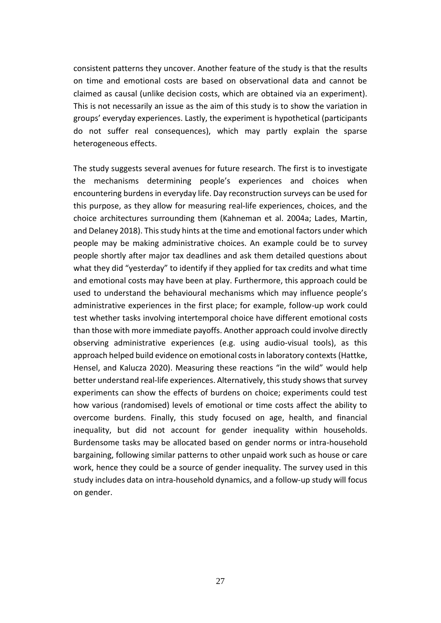consistent patterns they uncover. Another feature of the study is that the results on time and emotional costs are based on observational data and cannot be claimed as causal (unlike decision costs, which are obtained via an experiment). This is not necessarily an issue as the aim of this study is to show the variation in groups' everyday experiences. Lastly, the experiment is hypothetical (participants do not suffer real consequences), which may partly explain the sparse heterogeneous effects.

The study suggests several avenues for future research. The first is to investigate the mechanisms determining people's experiences and choices when encountering burdens in everyday life. Day reconstruction surveys can be used for this purpose, as they allow for measuring real-life experiences, choices, and the choice architectures surrounding them (Kahneman et al. 2004a; Lades, Martin, and Delaney 2018). This study hints at the time and emotional factors under which people may be making administrative choices. An example could be to survey people shortly after major tax deadlines and ask them detailed questions about what they did "yesterday" to identify if they applied for tax credits and what time and emotional costs may have been at play. Furthermore, this approach could be used to understand the behavioural mechanisms which may influence people's administrative experiences in the first place; for example, follow-up work could test whether tasks involving intertemporal choice have different emotional costs than those with more immediate payoffs. Another approach could involve directly observing administrative experiences (e.g. using audio-visual tools), as this approach helped build evidence on emotional costs in laboratory contexts(Hattke, Hensel, and Kalucza 2020). Measuring these reactions "in the wild" would help better understand real-life experiences. Alternatively, this study shows that survey experiments can show the effects of burdens on choice; experiments could test how various (randomised) levels of emotional or time costs affect the ability to overcome burdens. Finally, this study focused on age, health, and financial inequality, but did not account for gender inequality within households. Burdensome tasks may be allocated based on gender norms or intra-household bargaining, following similar patterns to other unpaid work such as house or care work, hence they could be a source of gender inequality. The survey used in this study includes data on intra-household dynamics, and a follow-up study will focus on gender.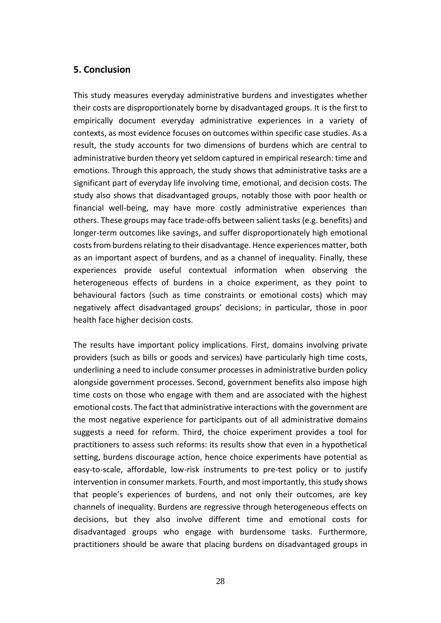# **5. Conclusion**

This study measures everyday administrative burdens and investigates whether their costs are disproportionately borne by disadvantaged groups. It is the first to empirically document everyday administrative experiences in a variety of contexts, as most evidence focuses on outcomes within specific case studies. As a result, the study accounts for two dimensions of burdens which are central to administrative burden theory yet seldom captured in empirical research: time and emotions. Through this approach, the study shows that administrative tasks are a significant part of everyday life involving time, emotional, and decision costs. The study also shows that disadvantaged groups, notably those with poor health or financial well-being, may have more costly administrative experiences than others. These groups may face trade-offs between salient tasks (e.g. benefits) and longer-term outcomes like savings, and suffer disproportionately high emotional costs from burdens relating to their disadvantage. Hence experiences matter, both as an important aspect of burdens, and as a channel of inequality. Finally, these experiences provide useful contextual information when observing the heterogeneous effects of burdens in a choice experiment, as they point to behavioural factors (such as time constraints or emotional costs) which may negatively affect disadvantaged groups' decisions; in particular, those in poor health face higher decision costs.

The results have important policy implications. First, domains involving private providers (such as bills or goods and services) have particularly high time costs, underlining a need to include consumer processes in administrative burden policy alongside government processes. Second, government benefits also impose high time costs on those who engage with them and are associated with the highest emotional costs. The fact that administrative interactions with the government are the most negative experience for participants out of all administrative domains suggests a need for reform. Third, the choice experiment provides a tool for practitioners to assess such reforms: its results show that even in a hypothetical setting, burdens discourage action, hence choice experiments have potential as easy-to-scale, affordable, low-risk instruments to pre-test policy or to justify intervention in consumer markets. Fourth, and most importantly, this study shows that people's experiences of burdens, and not only their outcomes, are key channels of inequality. Burdens are regressive through heterogeneous effects on decisions, but they also involve different time and emotional costs for disadvantaged groups who engage with burdensome tasks. Furthermore, practitioners should be aware that placing burdens on disadvantaged groups in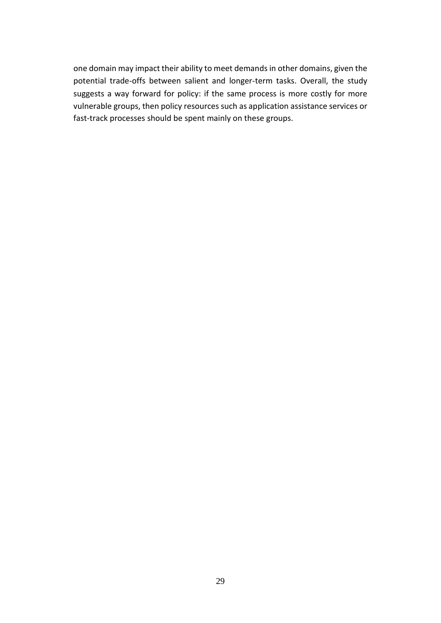one domain may impact their ability to meet demands in other domains, given the potential trade-offs between salient and longer-term tasks. Overall, the study suggests a way forward for policy: if the same process is more costly for more vulnerable groups, then policy resources such as application assistance services or fast-track processes should be spent mainly on these groups.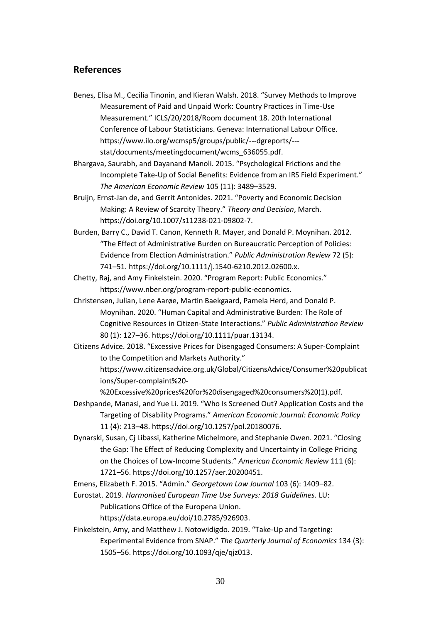## **References**

- Benes, Elisa M., Cecilia Tinonin, and Kieran Walsh. 2018. "Survey Methods to Improve Measurement of Paid and Unpaid Work: Country Practices in Time-Use Measurement." ICLS/20/2018/Room document 18. 20th International Conference of Labour Statisticians. Geneva: International Labour Office. https://www.ilo.org/wcmsp5/groups/public/---dgreports/-- stat/documents/meetingdocument/wcms\_636055.pdf.
- Bhargava, Saurabh, and Dayanand Manoli. 2015. "Psychological Frictions and the Incomplete Take-Up of Social Benefits: Evidence from an IRS Field Experiment." *The American Economic Review* 105 (11): 3489–3529.
- Bruijn, Ernst-Jan de, and Gerrit Antonides. 2021. "Poverty and Economic Decision Making: A Review of Scarcity Theory." *Theory and Decision*, March. https://doi.org/10.1007/s11238-021-09802-7.
- Burden, Barry C., David T. Canon, Kenneth R. Mayer, and Donald P. Moynihan. 2012. "The Effect of Administrative Burden on Bureaucratic Perception of Policies: Evidence from Election Administration." *Public Administration Review* 72 (5): 741–51. https://doi.org/10.1111/j.1540-6210.2012.02600.x.
- Chetty, Raj, and Amy Finkelstein. 2020. "Program Report: Public Economics." https://www.nber.org/program-report-public-economics.
- Christensen, Julian, Lene Aarøe, Martin Baekgaard, Pamela Herd, and Donald P. Moynihan. 2020. "Human Capital and Administrative Burden: The Role of Cognitive Resources in Citizen-State Interactions." *Public Administration Review* 80 (1): 127–36. https://doi.org/10.1111/puar.13134.
- Citizens Advice. 2018. "Excessive Prices for Disengaged Consumers: A Super-Complaint to the Competition and Markets Authority."

https://www.citizensadvice.org.uk/Global/CitizensAdvice/Consumer%20publicat ions/Super-complaint%20-

%20Excessive%20prices%20for%20disengaged%20consumers%20(1).pdf.

- Deshpande, Manasi, and Yue Li. 2019. "Who Is Screened Out? Application Costs and the Targeting of Disability Programs." *American Economic Journal: Economic Policy* 11 (4): 213–48. https://doi.org/10.1257/pol.20180076.
- Dynarski, Susan, Cj Libassi, Katherine Michelmore, and Stephanie Owen. 2021. "Closing the Gap: The Effect of Reducing Complexity and Uncertainty in College Pricing on the Choices of Low-Income Students." *American Economic Review* 111 (6): 1721–56. https://doi.org/10.1257/aer.20200451.
- Emens, Elizabeth F. 2015. "Admin." *Georgetown Law Journal* 103 (6): 1409–82.

Eurostat. 2019. *Harmonised European Time Use Surveys: 2018 Guidelines.* LU:

Publications Office of the Europena Union.

https://data.europa.eu/doi/10.2785/926903.

Finkelstein, Amy, and Matthew J. Notowidigdo. 2019. "Take-Up and Targeting: Experimental Evidence from SNAP." *The Quarterly Journal of Economics* 134 (3): 1505–56. https://doi.org/10.1093/qje/qjz013.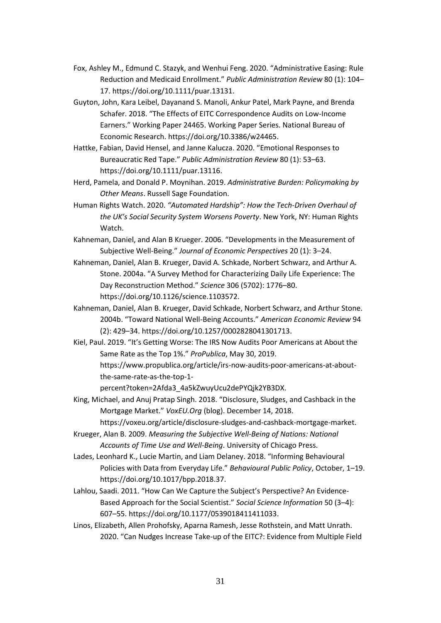- Fox, Ashley M., Edmund C. Stazyk, and Wenhui Feng. 2020. "Administrative Easing: Rule Reduction and Medicaid Enrollment." *Public Administration Review* 80 (1): 104– 17. https://doi.org/10.1111/puar.13131.
- Guyton, John, Kara Leibel, Dayanand S. Manoli, Ankur Patel, Mark Payne, and Brenda Schafer. 2018. "The Effects of EITC Correspondence Audits on Low-Income Earners." Working Paper 24465. Working Paper Series. National Bureau of Economic Research. https://doi.org/10.3386/w24465.
- Hattke, Fabian, David Hensel, and Janne Kalucza. 2020. "Emotional Responses to Bureaucratic Red Tape." *Public Administration Review* 80 (1): 53–63. https://doi.org/10.1111/puar.13116.
- Herd, Pamela, and Donald P. Moynihan. 2019. *Administrative Burden: Policymaking by Other Means*. Russell Sage Foundation.
- Human Rights Watch. 2020. *"Automated Hardship": How the Tech-Driven Overhaul of the UK's Social Security System Worsens Poverty*. New York, NY: Human Rights Watch.
- Kahneman, Daniel, and Alan B Krueger. 2006. "Developments in the Measurement of Subjective Well-Being." *Journal of Economic Perspectives* 20 (1): 3–24.
- Kahneman, Daniel, Alan B. Krueger, David A. Schkade, Norbert Schwarz, and Arthur A. Stone. 2004a. "A Survey Method for Characterizing Daily Life Experience: The Day Reconstruction Method." *Science* 306 (5702): 1776–80. https://doi.org/10.1126/science.1103572.
- Kahneman, Daniel, Alan B. Krueger, David Schkade, Norbert Schwarz, and Arthur Stone. 2004b. "Toward National Well-Being Accounts." *American Economic Review* 94 (2): 429–34. https://doi.org/10.1257/0002828041301713.
- Kiel, Paul. 2019. "It's Getting Worse: The IRS Now Audits Poor Americans at About the Same Rate as the Top 1%." *ProPublica*, May 30, 2019. https://www.propublica.org/article/irs-now-audits-poor-americans-at-aboutthe-same-rate-as-the-top-1 percent?token=2Afda3\_4a5kZwuyUcu2dePYQjk2YB3DX.

King, Michael, and Anuj Pratap Singh. 2018. "Disclosure, Sludges, and Cashback in the Mortgage Market." *VoxEU.Org* (blog). December 14, 2018.

https://voxeu.org/article/disclosure-sludges-and-cashback-mortgage-market.

- Krueger, Alan B. 2009. *Measuring the Subjective Well-Being of Nations: National Accounts of Time Use and Well-Being*. University of Chicago Press.
- Lades, Leonhard K., Lucie Martin, and Liam Delaney. 2018. "Informing Behavioural Policies with Data from Everyday Life." *Behavioural Public Policy*, October, 1–19. https://doi.org/10.1017/bpp.2018.37.
- Lahlou, Saadi. 2011. "How Can We Capture the Subject's Perspective? An Evidence-Based Approach for the Social Scientist." *Social Science Information* 50 (3–4): 607–55. https://doi.org/10.1177/0539018411411033.
- Linos, Elizabeth, Allen Prohofsky, Aparna Ramesh, Jesse Rothstein, and Matt Unrath. 2020. "Can Nudges Increase Take-up of the EITC?: Evidence from Multiple Field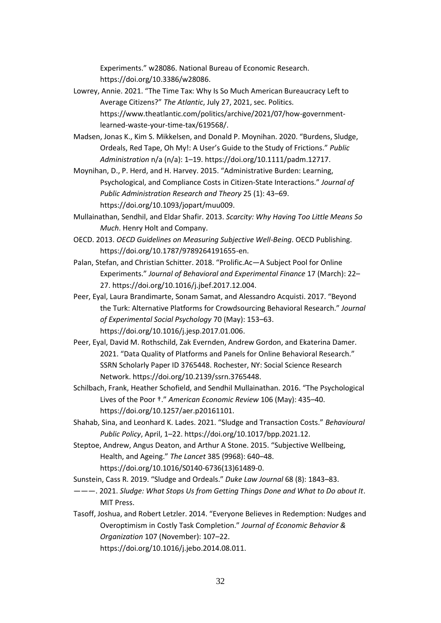Experiments." w28086. National Bureau of Economic Research. https://doi.org/10.3386/w28086.

- Lowrey, Annie. 2021. "The Time Tax: Why Is So Much American Bureaucracy Left to Average Citizens?" *The Atlantic*, July 27, 2021, sec. Politics. https://www.theatlantic.com/politics/archive/2021/07/how-governmentlearned-waste-your-time-tax/619568/.
- Madsen, Jonas K., Kim S. Mikkelsen, and Donald P. Moynihan. 2020. "Burdens, Sludge, Ordeals, Red Tape, Oh My!: A User's Guide to the Study of Frictions." *Public Administration* n/a (n/a): 1–19. https://doi.org/10.1111/padm.12717.
- Moynihan, D., P. Herd, and H. Harvey. 2015. "Administrative Burden: Learning, Psychological, and Compliance Costs in Citizen-State Interactions." *Journal of Public Administration Research and Theory* 25 (1): 43–69. https://doi.org/10.1093/jopart/muu009.
- Mullainathan, Sendhil, and Eldar Shafir. 2013. *Scarcity: Why Having Too Little Means So Much*. Henry Holt and Company.
- OECD. 2013. *OECD Guidelines on Measuring Subjective Well-Being*. OECD Publishing. https://doi.org/10.1787/9789264191655-en.
- Palan, Stefan, and Christian Schitter. 2018. "Prolific.Ac—A Subject Pool for Online Experiments." *Journal of Behavioral and Experimental Finance* 17 (March): 22– 27. https://doi.org/10.1016/j.jbef.2017.12.004.
- Peer, Eyal, Laura Brandimarte, Sonam Samat, and Alessandro Acquisti. 2017. "Beyond the Turk: Alternative Platforms for Crowdsourcing Behavioral Research." *Journal of Experimental Social Psychology* 70 (May): 153–63. https://doi.org/10.1016/j.jesp.2017.01.006.
- Peer, Eyal, David M. Rothschild, Zak Evernden, Andrew Gordon, and Ekaterina Damer. 2021. "Data Quality of Platforms and Panels for Online Behavioral Research." SSRN Scholarly Paper ID 3765448. Rochester, NY: Social Science Research Network. https://doi.org/10.2139/ssrn.3765448.
- Schilbach, Frank, Heather Schofield, and Sendhil Mullainathan. 2016. "The Psychological Lives of the Poor †." *American Economic Review* 106 (May): 435–40. https://doi.org/10.1257/aer.p20161101.
- Shahab, Sina, and Leonhard K. Lades. 2021. "Sludge and Transaction Costs." *Behavioural Public Policy*, April, 1–22. https://doi.org/10.1017/bpp.2021.12.
- Steptoe, Andrew, Angus Deaton, and Arthur A Stone. 2015. "Subjective Wellbeing, Health, and Ageing." *The Lancet* 385 (9968): 640–48. https://doi.org/10.1016/S0140-6736(13)61489-0.

Sunstein, Cass R. 2019. "Sludge and Ordeals." *Duke Law Journal* 68 (8): 1843–83.

- ———. 2021. *Sludge: What Stops Us from Getting Things Done and What to Do about It*. MIT Press.
- Tasoff, Joshua, and Robert Letzler. 2014. "Everyone Believes in Redemption: Nudges and Overoptimism in Costly Task Completion." *Journal of Economic Behavior & Organization* 107 (November): 107–22.

https://doi.org/10.1016/j.jebo.2014.08.011.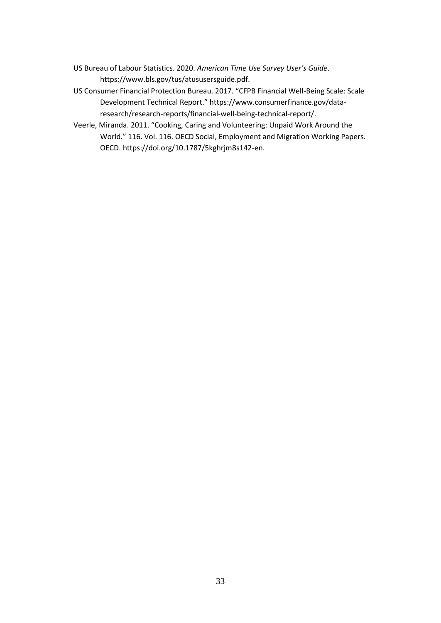- US Bureau of Labour Statistics. 2020. *American Time Use Survey User's Guide*. https://www.bls.gov/tus/atususersguide.pdf.
- US Consumer Financial Protection Bureau. 2017. "CFPB Financial Well-Being Scale: Scale Development Technical Report." https://www.consumerfinance.gov/dataresearch/research-reports/financial-well-being-technical-report/.
- Veerle, Miranda. 2011. "Cooking, Caring and Volunteering: Unpaid Work Around the World." 116. Vol. 116. OECD Social, Employment and Migration Working Papers. OECD. https://doi.org/10.1787/5kghrjm8s142-en.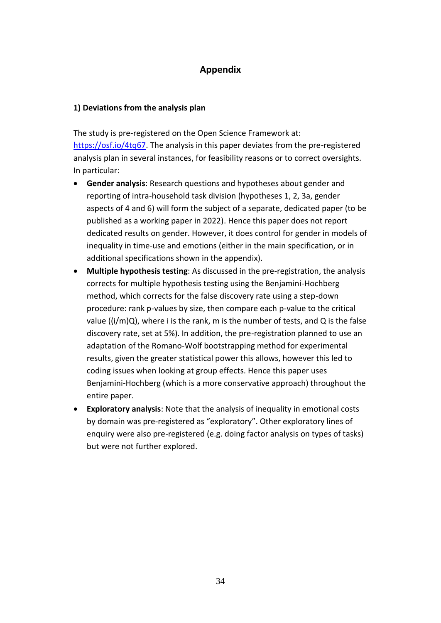# **Appendix**

### **1) Deviations from the analysis plan**

The study is pre-registered on the Open Science Framework at: [https://osf.io/4tq67.](https://osf.io/4tq67) The analysis in this paper deviates from the pre-registered analysis plan in several instances, for feasibility reasons or to correct oversights. In particular:

- **Gender analysis**: Research questions and hypotheses about gender and reporting of intra-household task division (hypotheses 1, 2, 3a, gender aspects of 4 and 6) will form the subject of a separate, dedicated paper (to be published as a working paper in 2022). Hence this paper does not report dedicated results on gender. However, it does control for gender in models of inequality in time-use and emotions (either in the main specification, or in additional specifications shown in the appendix).
- **Multiple hypothesis testing**: As discussed in the pre-registration, the analysis corrects for multiple hypothesis testing using the Benjamini-Hochberg method, which corrects for the false discovery rate using a step-down procedure: rank p-values by size, then compare each p-value to the critical value  $((i/m)Q)$ , where i is the rank, m is the number of tests, and Q is the false discovery rate, set at 5%). In addition, the pre-registration planned to use an adaptation of the Romano-Wolf bootstrapping method for experimental results, given the greater statistical power this allows, however this led to coding issues when looking at group effects. Hence this paper uses Benjamini-Hochberg (which is a more conservative approach) throughout the entire paper.
- **Exploratory analysis**: Note that the analysis of inequality in emotional costs by domain was pre-registered as "exploratory". Other exploratory lines of enquiry were also pre-registered (e.g. doing factor analysis on types of tasks) but were not further explored.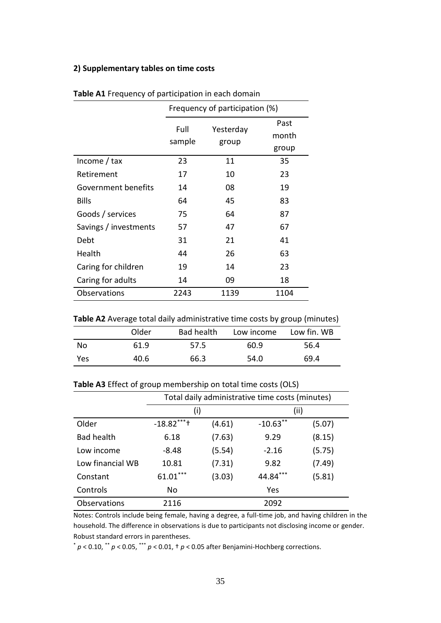## **2) Supplementary tables on time costs**

|                       | Frequency of participation (%) |                    |               |  |  |  |
|-----------------------|--------------------------------|--------------------|---------------|--|--|--|
|                       | Full<br>sample                 | Yesterday<br>group | Past<br>month |  |  |  |
|                       |                                |                    | group         |  |  |  |
| Income $/$ tax        | 23                             | 11                 | 35            |  |  |  |
| Retirement            | 17                             | 10                 | 23            |  |  |  |
| Government benefits   | 14                             | 08                 | 19            |  |  |  |
| <b>Bills</b>          | 64                             | 45                 | 83            |  |  |  |
| Goods / services      | 75                             | 64                 | 87            |  |  |  |
| Savings / investments | 57                             | 47                 | 67            |  |  |  |
| Debt                  | 31                             | 21                 | 41            |  |  |  |
| Health                | 44                             | 26                 | 63            |  |  |  |
| Caring for children   | 19                             | 14                 | 23            |  |  |  |
| Caring for adults     | 14                             | 09                 | 18            |  |  |  |
| Observations          | 2243                           | 1139               | 1104          |  |  |  |

|  |  |  | Table A1 Frequency of participation in each domain |  |  |  |  |
|--|--|--|----------------------------------------------------|--|--|--|--|
|--|--|--|----------------------------------------------------|--|--|--|--|

| Table A2 Average total daily administrative time costs by group (minutes) |  |  |  |
|---------------------------------------------------------------------------|--|--|--|
|---------------------------------------------------------------------------|--|--|--|

|     | Older | Bad health | Low income | Low fin. WB |
|-----|-------|------------|------------|-------------|
| No  | 61.9  | 57.5       | 60.9       | 56.4        |
| Yes | 40.6  | 66.3       | 54.0       | 69.4        |

| Table A3 Effect of group membership on total time costs (OLS) |  |  |  |
|---------------------------------------------------------------|--|--|--|
|---------------------------------------------------------------|--|--|--|

|                   | Total daily administrative time costs (minutes) |        |             |        |  |  |  |
|-------------------|-------------------------------------------------|--------|-------------|--------|--|--|--|
|                   | (i)                                             |        | (ii)        |        |  |  |  |
| Older             | $-18.82***$                                     | (4.61) | $-10.63$ ** | (5.07) |  |  |  |
| <b>Bad health</b> | 6.18                                            | (7.63) | 9.29        | (8.15) |  |  |  |
| Low income        | -8.48                                           | (5.54) | $-2.16$     | (5.75) |  |  |  |
| Low financial WB  | 10.81                                           | (7.31) | 9.82        | (7.49) |  |  |  |
| Constant          | $61.01***$                                      | (3.03) | 44.84***    | (5.81) |  |  |  |
| Controls          | No                                              |        | Yes         |        |  |  |  |
| Observations      | 2116                                            |        | 2092        |        |  |  |  |

Notes: Controls include being female, having a degree, a full-time job, and having children in the household. The difference in observations is due to participants not disclosing income or gender. Robust standard errors in parentheses.

\* *p* < 0.10, \*\* *p* < 0.05, \*\*\* *p* < 0.01, † *p* < 0.05 after Benjamini-Hochberg corrections.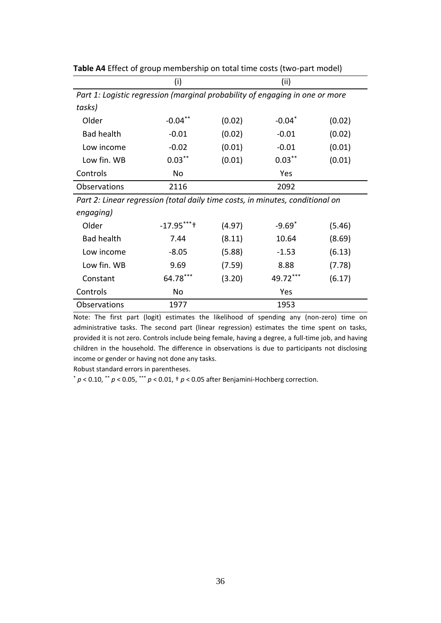|                                                                               | (i)        |        | (ii)                           |            |  |  |  |  |
|-------------------------------------------------------------------------------|------------|--------|--------------------------------|------------|--|--|--|--|
| Part 1: Logistic regression (marginal probability of engaging in one or more  |            |        |                                |            |  |  |  |  |
| tasks)                                                                        |            |        |                                |            |  |  |  |  |
| Older                                                                         | $-0.04***$ | (0.02) | $-0.04$ <sup>*</sup>           | (0.02)     |  |  |  |  |
| <b>Bad health</b>                                                             | $-0.01$    | (0.02) | $-0.01$                        | (0.02)     |  |  |  |  |
| Low income                                                                    | $-0.02$    | (0.01) | $-0.01$                        | (0.01)     |  |  |  |  |
| Low fin. WB                                                                   | $0.03***$  | (0.01) | $0.03***$                      | (0.01)     |  |  |  |  |
| Controls                                                                      | No         |        | Yes                            |            |  |  |  |  |
| Observations                                                                  | 2116       |        | 2092                           |            |  |  |  |  |
| Part 2: Linear regression (total daily time costs, in minutes, conditional on |            |        |                                |            |  |  |  |  |
| engaging)                                                                     |            |        |                                |            |  |  |  |  |
| $\bigcap$                                                                     | $1705***$  | (1021) | $\Omega$ $\Omega$ <sup>*</sup> | $\sqrt{2}$ |  |  |  |  |

**Table A4** Effect of group membership on total time costs (two-part model)

| Older             | $-17.95***$ | (4.97) | $-9.69*$ | (5.46) |
|-------------------|-------------|--------|----------|--------|
| <b>Bad health</b> | 7.44        | (8.11) | 10.64    | (8.69) |
| Low income        | $-8.05$     | (5.88) | $-1.53$  | (6.13) |
| Low fin. WB       | 9.69        | (7.59) | 8.88     | (7.78) |
| Constant          | 64.78***    | (3.20) | 49.72*** | (6.17) |
| Controls          | No          |        | Yes      |        |
| Observations      | 1977        |        | 1953     |        |

Note: The first part (logit) estimates the likelihood of spending any (non-zero) time on administrative tasks. The second part (linear regression) estimates the time spent on tasks, provided it is not zero. Controls include being female, having a degree, a full-time job, and having children in the household. The difference in observations is due to participants not disclosing income or gender or having not done any tasks.

Robust standard errors in parentheses.

\* *p* < 0.10, \*\* *p* < 0.05, \*\*\* *p* < 0.01, † *p* < 0.05 after Benjamini-Hochberg correction.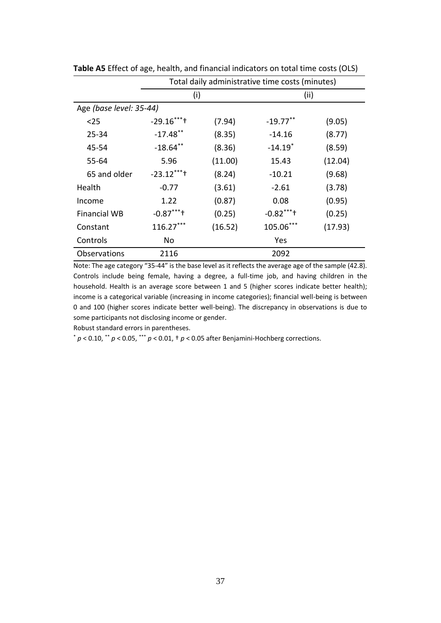|                         | Total daily administrative time costs (minutes) |         |                       |         |  |  |  |  |
|-------------------------|-------------------------------------------------|---------|-----------------------|---------|--|--|--|--|
|                         | (i)                                             |         | (ii)                  |         |  |  |  |  |
| Age (base level: 35-44) |                                                 |         |                       |         |  |  |  |  |
| $25$                    | $-29.16***$                                     | (7.94)  | $-19.77$ **           | (9.05)  |  |  |  |  |
| 25-34                   | $-17.48$ **                                     | (8.35)  | $-14.16$              | (8.77)  |  |  |  |  |
| 45-54                   | $-18.64$ **                                     | (8.36)  | $-14.19$ <sup>*</sup> | (8.59)  |  |  |  |  |
| 55-64                   | 5.96                                            | (11.00) | 15.43                 | (12.04) |  |  |  |  |
| 65 and older            | $-23.12***$                                     | (8.24)  | $-10.21$              | (9.68)  |  |  |  |  |
| Health                  | $-0.77$                                         | (3.61)  | $-2.61$               | (3.78)  |  |  |  |  |
| Income                  | 1.22                                            | (0.87)  | 0.08                  | (0.95)  |  |  |  |  |
| <b>Financial WB</b>     | $-0.87***$                                      | (0.25)  | $-0.82***$            | (0.25)  |  |  |  |  |
| Constant                | $116.27***$                                     | (16.52) | 105.06***             | (17.93) |  |  |  |  |
| Controls                | No                                              |         | Yes                   |         |  |  |  |  |
| Observations            | 2116                                            |         | 2092                  |         |  |  |  |  |

**Table A5** Effect of age, health, and financial indicators on total time costs (OLS)

Note: The age category "35-44" is the base level as it reflects the average age of the sample (42.8). Controls include being female, having a degree, a full-time job, and having children in the household. Health is an average score between 1 and 5 (higher scores indicate better health); income is a categorical variable (increasing in income categories); financial well-being is between 0 and 100 (higher scores indicate better well-being). The discrepancy in observations is due to some participants not disclosing income or gender.

Robust standard errors in parentheses.

\* *p* < 0.10, \*\* *p* < 0.05, \*\*\* *p* < 0.01, † *p* < 0.05 after Benjamini-Hochberg corrections.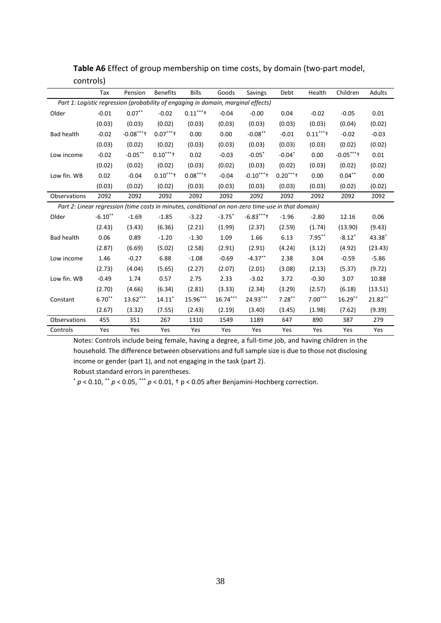|                                                                                                    | Tax       | Pension    | <b>Benefits</b> | <b>Bills</b> | Goods                | Savings    | Debt      | Health    | Children   | Adults  |
|----------------------------------------------------------------------------------------------------|-----------|------------|-----------------|--------------|----------------------|------------|-----------|-----------|------------|---------|
| Part 1: Logistic regression (probability of engaging in domain, marginal effects)                  |           |            |                 |              |                      |            |           |           |            |         |
| Older                                                                                              | $-0.01$   | $0.07***$  | $-0.02$         | $0.11***$    | $-0.04$              | $-0.00$    | 0.04      | $-0.02$   | $-0.05$    | 0.01    |
|                                                                                                    | (0.03)    | (0.03)     | (0.02)          | (0.03)       | (0.03)               | (0.03)     | (0.03)    | (0.03)    | (0.04)     | (0.02)  |
| <b>Bad health</b>                                                                                  | $-0.02$   | $-0.08***$ | $0.07***$       | 0.00         | 0.00                 | $-0.08***$ | $-0.01$   | $0.11***$ | $-0.02$    | $-0.03$ |
|                                                                                                    | (0.03)    | (0.02)     | (0.02)          | (0.03)       | (0.03)               | (0.03)     | (0.03)    | (0.03)    | (0.02)     | (0.02)  |
| Low income                                                                                         | $-0.02$   | $-0.05***$ | $0.10***$       | 0.02         | $-0.03$              | $-0.05*$   | $-0.04*$  | 0.00      | $-0.05***$ | 0.01    |
|                                                                                                    | (0.02)    | (0.02)     | (0.02)          | (0.03)       | (0.02)               | (0.03)     | (0.02)    | (0.03)    | (0.02)     | (0.02)  |
| Low fin. WB                                                                                        | 0.02      | $-0.04$    | $0.10***$       | $0.08***$    | $-0.04$              | $-0.10***$ | $0.20***$ | 0.00      | $0.04***$  | 0.00    |
|                                                                                                    | (0.03)    | (0.02)     | (0.02)          | (0.03)       | (0.03)               | (0.03)     | (0.03)    | (0.03)    | (0.02)     | (0.02)  |
| Observations                                                                                       | 2092      | 2092       | 2092            | 2092         | 2092                 | 2092       | 2092      | 2092      | 2092       | 2092    |
| Part 2: Linear regression (time costs in minutes, conditional on non-zero time-use in that domain) |           |            |                 |              |                      |            |           |           |            |         |
| Older                                                                                              | $-6.10**$ | $-1.69$    | $-1.85$         | $-3.22$      | $-3.75$ <sup>*</sup> | $-6.83***$ | $-1.96$   | $-2.80$   | 12.16      | 0.06    |
|                                                                                                    | (2.43)    | (3.43)     | (6.36)          | (2.21)       | (1.99)               | (2.37)     | (2.59)    | (1.74)    | (13.90)    | (9.43)  |
| <b>Bad health</b>                                                                                  | 0.06      | 0.89       | $-1.20$         | $-1.30$      | 1.09                 | 1.66       | 6.13      | $7.95***$ | $-8.12*$   | 43.38*  |
|                                                                                                    | (2.87)    | (6.69)     | (5.02)          | (2.58)       | (2.91)               | (2.91)     | (4.24)    | (3.12)    | (4.92)     | (23.43) |
| Low income                                                                                         | 1.46      | $-0.27$    | 6.88            | $-1.08$      | $-0.69$              | $-4.37**$  | 2.38      | 3.04      | $-0.59$    | $-5.86$ |
|                                                                                                    | (2.73)    | (4.04)     | (5.65)          | (2.27)       | (2.07)               | (2.01)     | (3.08)    | (2.13)    | (5.37)     | (9.72)  |
| Low fin. WB                                                                                        | $-0.49$   | 1.74       | 0.57            | 2.75         | 2.33                 | $-3.02$    | 3.72      | $-0.30$   | 3.07       | 10.88   |
|                                                                                                    | (2.70)    | (4.66)     | (6.34)          | (2.81)       | (3.33)               | (2.34)     | (3.29)    | (2.57)    | (6.18)     | (13.51) |
| Constant                                                                                           | $6.70**$  | 13.62***   | $14.11*$        | 15.96***     | $16.74***$           | 24.93***   | $7.28***$ | $7.00***$ | $16.29**$  | 21.82** |
|                                                                                                    | (2.67)    | (3.32)     | (7.55)          | (2.43)       | (2.19)               | (3.40)     | (3.45)    | (1.98)    | (7.62)     | (9.39)  |
| Observations                                                                                       | 455       | 351        | 267             | 1310         | 1549                 | 1189       | 647       | 890       | 387        | 279     |
| Controls                                                                                           | Yes       | Yes        | Yes             | Yes          | Yes                  | Yes        | Yes       | Yes       | Yes        | Yes     |

**Table A6** Effect of group membership on time costs, by domain (two-part model, controls)

Notes: Controls include being female, having a degree, a full-time job, and having children in the household. The difference between observations and full sample size is due to those not disclosing income or gender (part 1), and not engaging in the task (part 2).

Robust standard errors in parentheses.

\* *p* < 0.10, \*\* *p* < 0.05, \*\*\* *p* < 0.01, † p < 0.05 after Benjamini-Hochberg correction.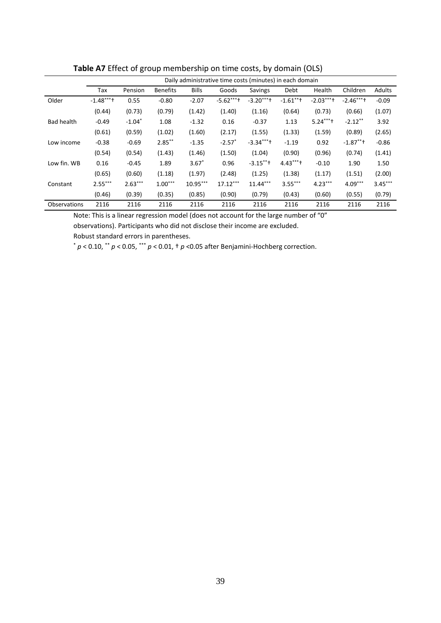|                   | Daily administrative time costs (minutes) in each domain |           |                 |              |                      |                |             |            |             |           |
|-------------------|----------------------------------------------------------|-----------|-----------------|--------------|----------------------|----------------|-------------|------------|-------------|-----------|
|                   | Tax                                                      | Pension   | <b>Benefits</b> | <b>Bills</b> | Goods                | <b>Savings</b> | Debt        | Health     | Children    | Adults    |
| Older             | $-1.48***$                                               | 0.55      | $-0.80$         | $-2.07$      | $-5.62***$           | $-3.20***$     | $-1.61$ **+ | $-2.03***$ | $-2.46***$  | $-0.09$   |
|                   | (0.44)                                                   | (0.73)    | (0.79)          | (1.42)       | (1.40)               | (1.16)         | (0.64)      | (0.73)     | (0.66)      | (1.07)    |
| <b>Bad health</b> | $-0.49$                                                  | $-1.04*$  | 1.08            | $-1.32$      | 0.16                 | $-0.37$        | 1.13        | $5.24***$  | $-2.12**$   | 3.92      |
|                   | (0.61)                                                   | (0.59)    | (1.02)          | (1.60)       | (2.17)               | (1.55)         | (1.33)      | (1.59)     | (0.89)      | (2.65)    |
| Low income        | $-0.38$                                                  | $-0.69$   | $2.85***$       | $-1.35$      | $-2.57$ <sup>*</sup> | $-3.34***$     | $-1.19$     | 0.92       | $-1.87$ **+ | $-0.86$   |
|                   | (0.54)                                                   | (0.54)    | (1.43)          | (1.46)       | (1.50)               | (1.04)         | (0.90)      | (0.96)     | (0.74)      | (1.41)    |
| Low fin. WB       | 0.16                                                     | $-0.45$   | 1.89            | $3.67*$      | 0.96                 | $-3.15***$     | $4.43***$   | $-0.10$    | 1.90        | 1.50      |
|                   | (0.65)                                                   | (0.60)    | (1.18)          | (1.97)       | (2.48)               | (1.25)         | (1.38)      | (1.17)     | (1.51)      | (2.00)    |
| Constant          | $2.55***$                                                | $2.63***$ | $1.00***$       | $10.95***$   | $17.12***$           | $11.44***$     | $3.55***$   | $4.23***$  | $4.09***$   | $3.45***$ |
|                   | (0.46)                                                   | (0.39)    | (0.35)          | (0.85)       | (0.90)               | (0.79)         | (0.43)      | (0.60)     | (0.55)      | (0.79)    |
| Observations      | 2116                                                     | 2116      | 2116            | 2116         | 2116                 | 2116           | 2116        | 2116       | 2116        | 2116      |

**Table A7** Effect of group membership on time costs, by domain (OLS)

Note: This is a linear regression model (does not account for the large number of "0"

observations). Participants who did not disclose their income are excluded.

Robust standard errors in parentheses.

\* *p* < 0.10, \*\* *p* < 0.05, \*\*\* *p* < 0.01, † *p* <0.05 after Benjamini-Hochberg correction.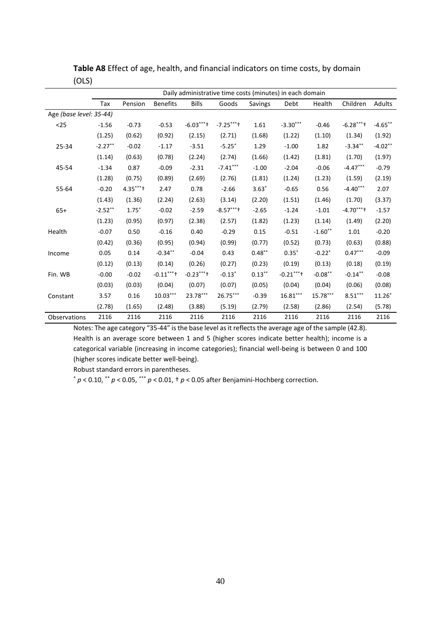|                         | Daily administrative time costs (minutes) in each domain |           |                 |              |                      |           |            |           |            |            |
|-------------------------|----------------------------------------------------------|-----------|-----------------|--------------|----------------------|-----------|------------|-----------|------------|------------|
|                         | Tax                                                      | Pension   | <b>Benefits</b> | <b>Bills</b> | Goods                | Savings   | Debt       | Health    | Children   | Adults     |
| Age (base level: 35-44) |                                                          |           |                 |              |                      |           |            |           |            |            |
| $25$                    | $-1.56$                                                  | $-0.73$   | $-0.53$         | $-6.03***$   | $-7.25***$           | 1.61      | $-3.30***$ | $-0.46$   | $-6.28***$ | $-4.65***$ |
|                         | (1.25)                                                   | (0.62)    | (0.92)          | (2.15)       | (2.71)               | (1.68)    | (1.22)     | (1.10)    | (1.34)     | (1.92)     |
| 25-34                   | $-2.27**$                                                | $-0.02$   | $-1.17$         | $-3.51$      | $-5.25$ *            | 1.29      | $-1.00$    | 1.82      | $-3.34***$ | $-4.02**$  |
|                         | (1.14)                                                   | (0.63)    | (0.78)          | (2.24)       | (2.74)               | (1.66)    | (1.42)     | (1.81)    | (1.70)     | (1.97)     |
| 45-54                   | $-1.34$                                                  | 0.87      | $-0.09$         | $-2.31$      | $-7.41***$           | $-1.00$   | $-2.04$    | $-0.06$   | $-4.47***$ | $-0.79$    |
|                         | (1.28)                                                   | (0.75)    | (0.89)          | (2.69)       | (2.76)               | (1.81)    | (1.24)     | (1.23)    | (1.59)     | (2.19)     |
| 55-64                   | $-0.20$                                                  | $4.35***$ | 2.47            | 0.78         | $-2.66$              | $3.63*$   | $-0.65$    | 0.56      | $-4.40***$ | 2.07       |
|                         | (1.43)                                                   | (1.36)    | (2.24)          | (2.63)       | (3.14)               | (2.20)    | (1.51)     | (1.46)    | (1.70)     | (3.37)     |
| $65+$                   | $-2.52***$                                               | $1.75*$   | $-0.02$         | $-2.59$      | $-8.57***$           | $-2.65$   | $-1.24$    | $-1.01$   | $-4.70***$ | $-1.57$    |
|                         | (1.23)                                                   | (0.95)    | (0.97)          | (2.38)       | (2.57)               | (1.82)    | (1.23)     | (1.14)    | (1.49)     | (2.20)     |
| Health                  | $-0.07$                                                  | 0.50      | $-0.16$         | 0.40         | $-0.29$              | 0.15      | $-0.51$    | $-1.60**$ | 1.01       | $-0.20$    |
|                         | (0.42)                                                   | (0.36)    | (0.95)          | (0.94)       | (0.99)               | (0.77)    | (0.52)     | (0.73)    | (0.63)     | (0.88)     |
| Income                  | 0.05                                                     | 0.14      | $-0.34***$      | $-0.04$      | 0.43                 | $0.48***$ | $0.35*$    | $-0.22*$  | $0.47***$  | $-0.09$    |
|                         | (0.12)                                                   | (0.13)    | (0.14)          | (0.26)       | (0.27)               | (0.23)    | (0.19)     | (0.13)    | (0.18)     | (0.19)     |
| Fin. WB                 | $-0.00$                                                  | $-0.02$   | $-0.11***$      | $-0.23***$   | $-0.13$ <sup>*</sup> | $0.13***$ | $-0.21***$ | $-0.08**$ | $-0.14***$ | $-0.08$    |
|                         | (0.03)                                                   | (0.03)    | (0.04)          | (0.07)       | (0.07)               | (0.05)    | (0.04)     | (0.04)    | (0.06)     | (0.08)     |
| Constant                | 3.57                                                     | 0.16      | $10.03***$      | 23.78***     | 26.75***             | $-0.39$   | $16.81***$ | 15.78***  | $8.51***$  | $11.26*$   |
|                         | (2.78)                                                   | (1.65)    | (2.48)          | (3.88)       | (5.19)               | (2.79)    | (2.58)     | (2.86)    | (2.54)     | (5.78)     |
| Observations            | 2116                                                     | 2116      | 2116            | 2116         | 2116                 | 2116      | 2116       | 2116      | 2116       | 2116       |

**Table A8** Effect of age, health, and financial indicators on time costs, by domain (OLS)

Notes: The age category "35-44" is the base level as it reflects the average age of the sample (42.8). Health is an average score between 1 and 5 (higher scores indicate better health); income is a categorical variable (increasing in income categories); financial well-being is between 0 and 100 (higher scores indicate better well-being).

Robust standard errors in parentheses.

\* *p* < 0.10, \*\* *p* < 0.05, \*\*\* *p* < 0.01, † *p* < 0.05 after Benjamini-Hochberg correction.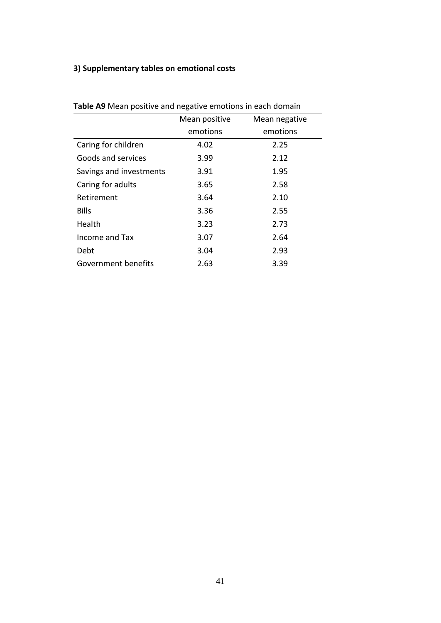# **3) Supplementary tables on emotional costs**

| <b>Table As ivicall positive and hegative emotions in each domain</b> |               |               |  |  |  |  |
|-----------------------------------------------------------------------|---------------|---------------|--|--|--|--|
|                                                                       | Mean positive | Mean negative |  |  |  |  |
|                                                                       | emotions      | emotions      |  |  |  |  |
| Caring for children                                                   | 4.02          | 2.25          |  |  |  |  |
| Goods and services                                                    | 3.99          | 2.12          |  |  |  |  |
| Savings and investments                                               | 3.91          | 1.95          |  |  |  |  |
| Caring for adults                                                     | 3.65          | 2.58          |  |  |  |  |
| Retirement                                                            | 3.64          | 2.10          |  |  |  |  |
| <b>Bills</b>                                                          | 3.36          | 2.55          |  |  |  |  |
| Health                                                                | 3.23          | 2.73          |  |  |  |  |
| Income and Tax                                                        | 3.07          | 2.64          |  |  |  |  |
| Debt                                                                  | 3.04          | 2.93          |  |  |  |  |
| Government benefits                                                   | 2.63          | 3.39          |  |  |  |  |

**Table A9** Mean positive and negative emotions in each domain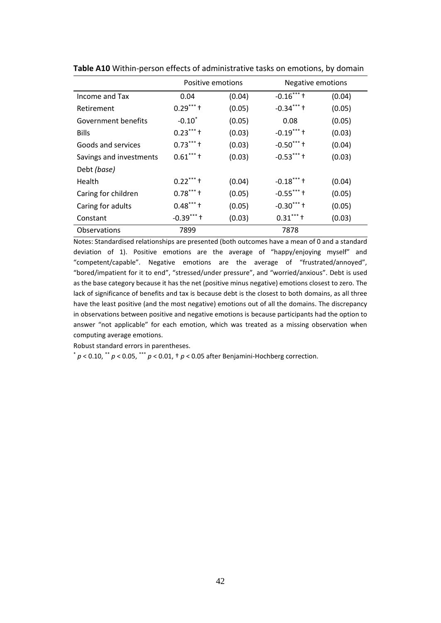|                         | Positive emotions    |        | Negative emotions |        |
|-------------------------|----------------------|--------|-------------------|--------|
| Income and Tax          | 0.04                 | (0.04) | $-0.16***$        | (0.04) |
| Retirement              | $0.29***$            | (0.05) | $-0.34***$        | (0.05) |
| Government benefits     | $-0.10$ <sup>*</sup> | (0.05) | 0.08              | (0.05) |
| <b>Bills</b>            | $0.23***$            | (0.03) | $-0.19***$        | (0.03) |
| Goods and services      | $0.73***$            | (0.03) | $-0.50***$        | (0.04) |
| Savings and investments | $0.61***$            | (0.03) | $-0.53***$        | (0.03) |
| Debt (base)             |                      |        |                   |        |
| <b>Health</b>           | $0.22***$            | (0.04) | $-0.18***$        | (0.04) |
| Caring for children     | $0.78***$            | (0.05) | $-0.55***$        | (0.05) |
| Caring for adults       | $0.48***$            | (0.05) | $-0.30***$        | (0.05) |
| Constant                | $-0.39***$           | (0.03) | $0.31***$         | (0.03) |
| Observations            | 7899                 |        | 7878              |        |

**Table A10** Within-person effects of administrative tasks on emotions, by domain

Notes: Standardised relationships are presented (both outcomes have a mean of 0 and a standard deviation of 1). Positive emotions are the average of "happy/enjoying myself" and "competent/capable". Negative emotions are the average of "frustrated/annoyed", "bored/impatient for it to end", "stressed/under pressure", and "worried/anxious". Debt is used as the base category because it has the net (positive minus negative) emotions closest to zero. The lack of significance of benefits and tax is because debt is the closest to both domains, as all three have the least positive (and the most negative) emotions out of all the domains. The discrepancy in observations between positive and negative emotions is because participants had the option to answer "not applicable" for each emotion, which was treated as a missing observation when computing average emotions.

Robust standard errors in parentheses.

 $p$  < 0.10,  $p$  < 0.05,  $p$  × 0.01,  $p$  < 0.01,  $p$  < 0.05 after Benjamini-Hochberg correction.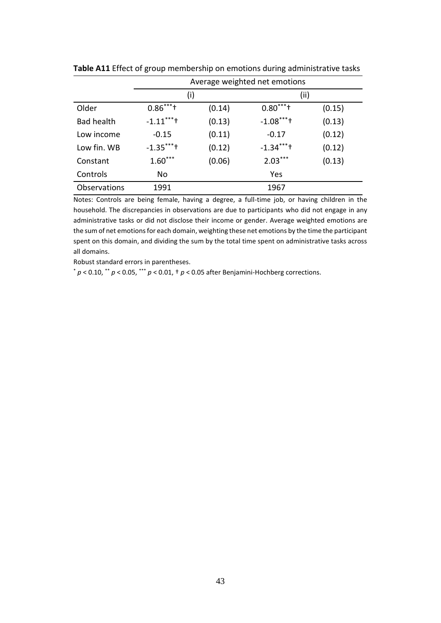|                   | Average weighted net emotions |        |            |        |  |  |  |  |
|-------------------|-------------------------------|--------|------------|--------|--|--|--|--|
|                   | (i)                           |        | (ii)       |        |  |  |  |  |
| Older             | $0.86***$                     | (0.14) | $0.80***$  | (0.15) |  |  |  |  |
| <b>Bad health</b> | $-1.11***$                    | (0.13) | $-1.08***$ | (0.13) |  |  |  |  |
| Low income        | $-0.15$                       | (0.11) | $-0.17$    | (0.12) |  |  |  |  |
| Low fin. WB       | $-1.35***$                    | (0.12) | $-1.34***$ | (0.12) |  |  |  |  |
| Constant          | $1.60***$                     | (0.06) | $2.03***$  | (0.13) |  |  |  |  |
| Controls          | No                            |        | Yes        |        |  |  |  |  |
| Observations      | 1991                          |        | 1967       |        |  |  |  |  |

**Table A11** Effect of group membership on emotions during administrative tasks

Notes: Controls are being female, having a degree, a full-time job, or having children in the household. The discrepancies in observations are due to participants who did not engage in any administrative tasks or did not disclose their income or gender. Average weighted emotions are the sum of net emotions for each domain, weighting these net emotions by the time the participant spent on this domain, and dividing the sum by the total time spent on administrative tasks across all domains.

Robust standard errors in parentheses.

\* *p* < 0.10, \*\* *p* < 0.05, \*\*\* *p* < 0.01, † *p* < 0.05 after Benjamini-Hochberg corrections.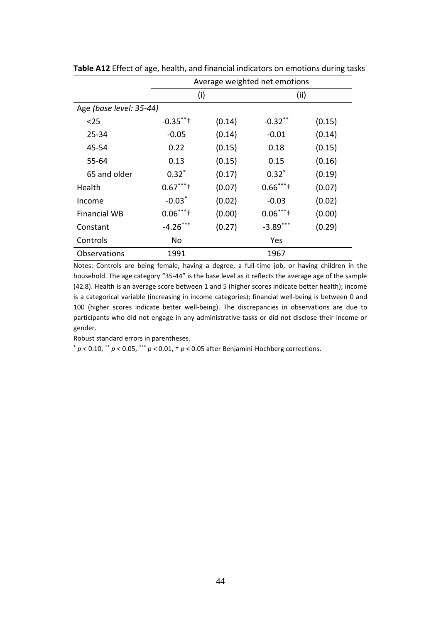|                         |                          | Average weighted net emotions |                            |        |  |  |  |  |
|-------------------------|--------------------------|-------------------------------|----------------------------|--------|--|--|--|--|
|                         | (i)                      |                               | (i)                        |        |  |  |  |  |
| Age (base level: 35-44) |                          |                               |                            |        |  |  |  |  |
| $25$                    | $-0.35$ **+              | (0.14)                        | $-0.32***$                 | (0.15) |  |  |  |  |
| $25 - 34$               | $-0.05$                  | (0.14)                        | $-0.01$                    | (0.14) |  |  |  |  |
| 45-54                   | 0.22                     | (0.15)                        | 0.18                       | (0.15) |  |  |  |  |
| 55-64                   | 0.13                     | (0.15)                        | 0.15                       | (0.16) |  |  |  |  |
| 65 and older            | $0.32*$                  | (0.17)                        | $0.32*$                    | (0.19) |  |  |  |  |
| Health                  | $0.67***$                | (0.07)                        | $0.66***$                  | (0.07) |  |  |  |  |
| Income                  | $-0.03*$                 | (0.02)                        | $-0.03$                    | (0.02) |  |  |  |  |
| <b>Financial WB</b>     | $0.06***$ <sup>+**</sup> | (0.00)                        | $0.06***$ <sup>+**</sup> + | (0.00) |  |  |  |  |
| Constant                | $-4.26***$               | (0.27)                        | $-3.89***$                 | (0.29) |  |  |  |  |
| Controls                | No                       |                               | Yes                        |        |  |  |  |  |
| Observations            | 1991                     |                               | 1967                       |        |  |  |  |  |

**Table A12** Effect of age, health, and financial indicators on emotions during tasks

Notes: Controls are being female, having a degree, a full-time job, or having children in the household. The age category "35-44" is the base level as it reflects the average age of the sample (42.8). Health is an average score between 1 and 5 (higher scores indicate better health); income is a categorical variable (increasing in income categories); financial well-being is between 0 and 100 (higher scores indicate better well-being). The discrepancies in observations are due to participants who did not engage in any administrative tasks or did not disclose their income or gender.

Robust standard errors in parentheses.

 $p$  < 0.10,  $\cdot$   $\cdot$  *p* < 0.05,  $\cdot$   $\cdot$   $\cdot$  *p* < 0.01,  $\cdot$  *p* < 0.05 after Benjamini-Hochberg corrections.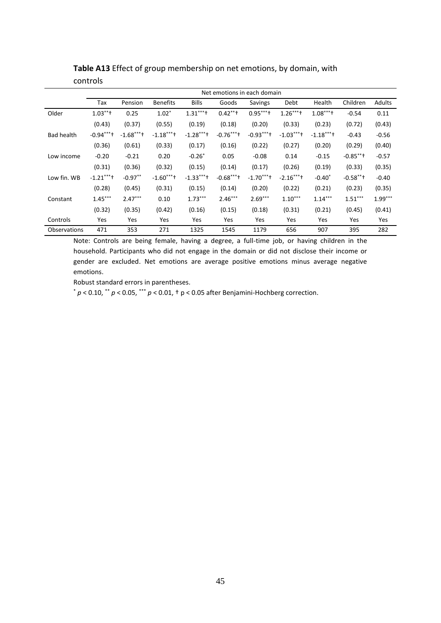|                   | Net emotions in each domain |            |                 |              |            |            |            |            |             |           |
|-------------------|-----------------------------|------------|-----------------|--------------|------------|------------|------------|------------|-------------|-----------|
|                   | Tax                         | Pension    | <b>Benefits</b> | <b>Bills</b> | Goods      | Savings    | Debt       | Health     | Children    | Adults    |
| Older             | $1.03***$                   | 0.25       | $1.02*$         | $1.31***$    | $0.42***$  | $0.95***$  | $1.26***$  | $1.08***$  | $-0.54$     | 0.11      |
|                   | (0.43)                      | (0.37)     | (0.55)          | (0.19)       | (0.18)     | (0.20)     | (0.33)     | (0.23)     | (0.72)      | (0.43)    |
| <b>Bad health</b> | $-0.94***$                  | $-1.68***$ | $-1.18***$      | $-1.28***$   | $-0.76***$ | $-0.93***$ | $-1.03***$ | $-1.18***$ | $-0.43$     | $-0.56$   |
|                   | (0.36)                      | (0.61)     | (0.33)          | (0.17)       | (0.16)     | (0.22)     | (0.27)     | (0.20)     | (0.29)      | (0.40)    |
| Low income        | $-0.20$                     | $-0.21$    | 0.20            | $-0.26*$     | 0.05       | $-0.08$    | 0.14       | $-0.15$    | $-0.85$ **+ | $-0.57$   |
|                   | (0.31)                      | (0.36)     | (0.32)          | (0.15)       | (0.14)     | (0.17)     | (0.26)     | (0.19)     | (0.33)      | (0.35)    |
| Low fin. WB       | $-1.21***$                  | $-0.97**$  | $-1.60***$      | $-1.33***$   | $-0.68***$ | $-1.70***$ | $-2.16***$ | $-0.40*$   | $-0.58$ **† | $-0.40$   |
|                   | (0.28)                      | (0.45)     | (0.31)          | (0.15)       | (0.14)     | (0.20)     | (0.22)     | (0.21)     | (0.23)      | (0.35)    |
| Constant          | $1.45***$                   | $2.47***$  | 0.10            | $1.73***$    | $2.46***$  | $2.69***$  | $1.10***$  | $1.14***$  | $1.51***$   | $1.99***$ |
|                   | (0.32)                      | (0.35)     | (0.42)          | (0.16)       | (0.15)     | (0.18)     | (0.31)     | (0.21)     | (0.45)      | (0.41)    |
| Controls          | Yes                         | Yes        | Yes             | Yes          | Yes        | Yes        | Yes        | Yes        | Yes         | Yes       |
| Observations      | 471                         | 353        | 271             | 1325         | 1545       | 1179       | 656        | 907        | 395         | 282       |

**Table A13** Effect of group membership on net emotions, by domain, with controls

Note: Controls are being female, having a degree, a full-time job, or having children in the household. Participants who did not engage in the domain or did not disclose their income or gender are excluded. Net emotions are average positive emotions minus average negative emotions.

Robust standard errors in parentheses.

\* *p* < 0.10, \*\* *p* < 0.05, \*\*\* *p* < 0.01, † p < 0.05 after Benjamini-Hochberg correction.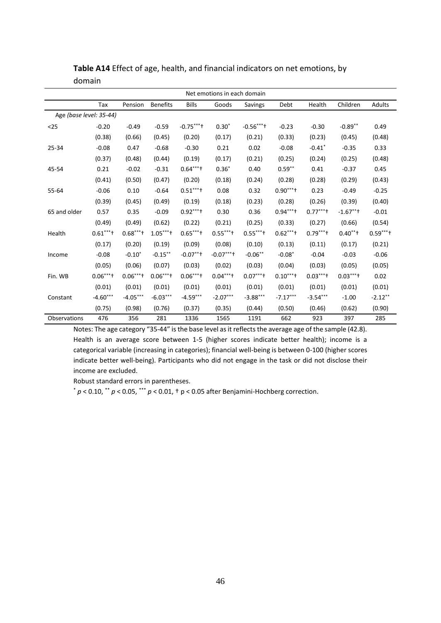| Net emotions in each domain |            |            |                 |              |                          |                          |            |                      |             |           |
|-----------------------------|------------|------------|-----------------|--------------|--------------------------|--------------------------|------------|----------------------|-------------|-----------|
|                             | Tax        | Pension    | <b>Benefits</b> | <b>Bills</b> | Goods                    | Savings                  | Debt       | Health               | Children    | Adults    |
| Age (base level: 35-44)     |            |            |                 |              |                          |                          |            |                      |             |           |
| $25$                        | $-0.20$    | $-0.49$    | $-0.59$         | $-0.75***$   | $0.30*$                  | $-0.56***$               | $-0.23$    | $-0.30$              | $-0.89**$   | 0.49      |
|                             | (0.38)     | (0.66)     | (0.45)          | (0.20)       | (0.17)                   | (0.21)                   | (0.33)     | (0.23)               | (0.45)      | (0.48)    |
| 25-34                       | $-0.08$    | 0.47       | $-0.68$         | $-0.30$      | 0.21                     | 0.02                     | $-0.08$    | $-0.41$ <sup>*</sup> | $-0.35$     | 0.33      |
|                             | (0.37)     | (0.48)     | (0.44)          | (0.19)       | (0.17)                   | (0.21)                   | (0.25)     | (0.24)               | (0.25)      | (0.48)    |
| 45-54                       | 0.21       | $-0.02$    | $-0.31$         | $0.64***$    | $0.36*$                  | 0.40                     | $0.59***$  | 0.41                 | $-0.37$     | 0.45      |
|                             | (0.41)     | (0.50)     | (0.47)          | (0.20)       | (0.18)                   | (0.24)                   | (0.28)     | (0.28)               | (0.29)      | (0.43)    |
| 55-64                       | $-0.06$    | 0.10       | $-0.64$         | $0.51***$    | 0.08                     | 0.32                     | $0.90***$  | 0.23                 | $-0.49$     | $-0.25$   |
|                             | (0.39)     | (0.45)     | (0.49)          | (0.19)       | (0.18)                   | (0.23)                   | (0.28)     | (0.26)               | (0.39)      | (0.40)    |
| 65 and older                | 0.57       | 0.35       | $-0.09$         | $0.92***$    | 0.30                     | 0.36                     | $0.94***$  | $0.77***$            | $-1.67$ **+ | $-0.01$   |
|                             | (0.49)     | (0.49)     | (0.62)          | (0.22)       | (0.21)                   | (0.25)                   | (0.33)     | (0.27)               | (0.66)      | (0.54)    |
| Health                      | $0.61***$  | $0.68***$  | $1.05***$       | $0.65***$    | $0.55***$                | $0.55***$                | $0.62***$  | $0.79***$            | $0.40**$    | $0.59***$ |
|                             | (0.17)     | (0.20)     | (0.19)          | (0.09)       | (0.08)                   | (0.10)                   | (0.13)     | (0.11)               | (0.17)      | (0.21)    |
| Income                      | $-0.08$    | $-0.10*$   | $-0.15***$      | $-0.07***$   | $-0.07***$               | $-0.06**$                | $-0.08*$   | $-0.04$              | $-0.03$     | $-0.06$   |
|                             | (0.05)     | (0.06)     | (0.07)          | (0.03)       | (0.02)                   | (0.03)                   | (0.04)     | (0.03)               | (0.05)      | (0.05)    |
| Fin. WB                     | $0.06***$  | $0.06***$  | $0.06***$ ***   | $0.06***$    | $0.04***$ <sup>+**</sup> | $0.07***$ <sup>+**</sup> | $0.10***$  | $0.03***$            | $0.03***$   | 0.02      |
|                             | (0.01)     | (0.01)     | (0.01)          | (0.01)       | (0.01)                   | (0.01)                   | (0.01)     | (0.01)               | (0.01)      | (0.01)    |
| Constant                    | $-4.60***$ | $-4.05***$ | $-6.03***$      | $-4.59***$   | $-2.07***$               | $-3.88***$               | $-7.17***$ | $-3.54***$           | $-1.00$     | $-2.12**$ |
|                             | (0.75)     | (0.98)     | (0.76)          | (0.37)       | (0.35)                   | (0.44)                   | (0.50)     | (0.46)               | (0.62)      | (0.90)    |
| Observations                | 476        | 356        | 281             | 1336         | 1565                     | 1191                     | 662        | 923                  | 397         | 285       |

**Table A14** Effect of age, health, and financial indicators on net emotions, by domain

Notes: The age category "35-44" is the base level as it reflects the average age of the sample (42.8). Health is an average score between 1-5 (higher scores indicate better health); income is a categorical variable (increasing in categories); financial well-being is between 0-100 (higher scores indicate better well-being). Participants who did not engage in the task or did not disclose their income are excluded.

Robust standard errors in parentheses.

\* *p* < 0.10, \*\* *p* < 0.05, \*\*\* *p* < 0.01, † p < 0.05 after Benjamini-Hochberg correction.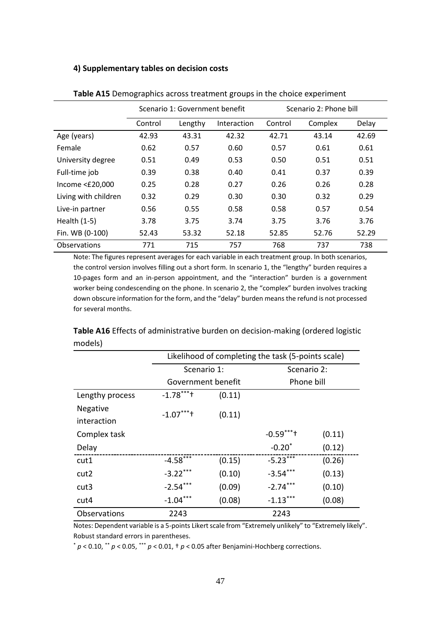#### **4) Supplementary tables on decision costs**

|                       | Scenario 1: Government benefit |         |             | Scenario 2: Phone bill |         |       |
|-----------------------|--------------------------------|---------|-------------|------------------------|---------|-------|
|                       | Control                        | Lengthy | Interaction | Control                | Complex | Delay |
| Age (years)           | 42.93                          | 43.31   | 42.32       | 42.71                  | 43.14   | 42.69 |
| Female                | 0.62                           | 0.57    | 0.60        | 0.57                   | 0.61    | 0.61  |
| University degree     | 0.51                           | 0.49    | 0.53        | 0.50                   | 0.51    | 0.51  |
| Full-time job         | 0.39                           | 0.38    | 0.40        | 0.41                   | 0.37    | 0.39  |
| Income $\leq$ £20,000 | 0.25                           | 0.28    | 0.27        | 0.26                   | 0.26    | 0.28  |
| Living with children  | 0.32                           | 0.29    | 0.30        | 0.30                   | 0.32    | 0.29  |
| Live-in partner       | 0.56                           | 0.55    | 0.58        | 0.58                   | 0.57    | 0.54  |
| Health (1-5)          | 3.78                           | 3.75    | 3.74        | 3.75                   | 3.76    | 3.76  |
| Fin. WB (0-100)       | 52.43                          | 53.32   | 52.18       | 52.85                  | 52.76   | 52.29 |
| Observations          | 771                            | 715     | 757         | 768                    | 737     | 738   |

**Table A15** Demographics across treatment groups in the choice experiment

Note: The figures represent averages for each variable in each treatment group. In both scenarios, the control version involves filling out a short form. In scenario 1, the "lengthy" burden requires a 10-pages form and an in-person appointment, and the "interaction" burden is a government worker being condescending on the phone. In scenario 2, the "complex" burden involves tracking down obscure information for the form, and the "delay" burden means the refund is not processed for several months.

|                                | Likelihood of completing the task (5-points scale) |        |                      |        |  |  |  |  |
|--------------------------------|----------------------------------------------------|--------|----------------------|--------|--|--|--|--|
|                                | Scenario 1:                                        |        | Scenario 2:          |        |  |  |  |  |
|                                | Government benefit                                 |        | Phone bill           |        |  |  |  |  |
| Lengthy process                | $-1.78***$<br>(0.11)                               |        |                      |        |  |  |  |  |
| <b>Negative</b><br>interaction | $-1.07***$                                         | (0.11) |                      |        |  |  |  |  |
| Complex task                   |                                                    |        | $-0.59***$           | (0.11) |  |  |  |  |
| Delay                          |                                                    |        | $-0.20$ <sup>*</sup> | (0.12) |  |  |  |  |
| cut1                           | $-4.58***$                                         | (0.15) | $-5.23***$           | (0.26) |  |  |  |  |
| cut <sub>2</sub>               | $-3.22***$                                         | (0.10) | $-3.54***$           | (0.13) |  |  |  |  |
| cut <sub>3</sub>               | $-2.54***$                                         | (0.09) | $-2.74***$           | (0.10) |  |  |  |  |
| cut4                           | $-1.04***$                                         | (0.08) | $-1.13***$           | (0.08) |  |  |  |  |
| Observations                   | 2243                                               | 2243   |                      |        |  |  |  |  |

**Table A16** Effects of administrative burden on decision-making (ordered logistic models)

Notes: Dependent variable is a 5-points Likert scale from "Extremely unlikely" to "Extremely likely". Robust standard errors in parentheses.

\* *p* < 0.10, \*\* *p* < 0.05, \*\*\* *p* < 0.01, † *p* < 0.05 after Benjamini-Hochberg corrections.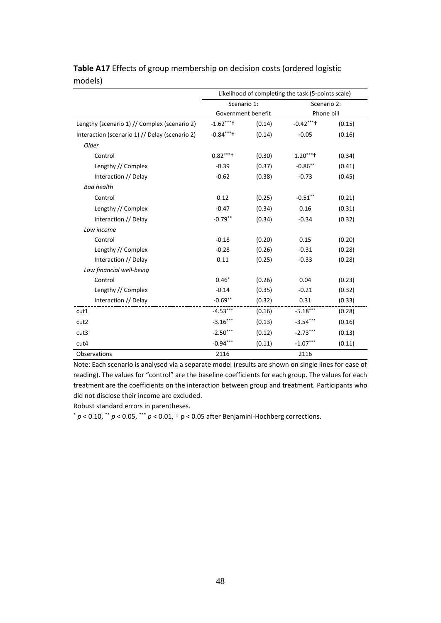|                                                | Likelihood of completing the task (5-points scale) |        |             |        |  |  |  |
|------------------------------------------------|----------------------------------------------------|--------|-------------|--------|--|--|--|
|                                                | Scenario 1:                                        |        | Scenario 2: |        |  |  |  |
|                                                | Government benefit                                 |        | Phone bill  |        |  |  |  |
| Lengthy (scenario 1) // Complex (scenario 2)   | $-1.62***$                                         | (0.14) | $-0.42***$  | (0.15) |  |  |  |
| Interaction (scenario 1) // Delay (scenario 2) | $-0.84***$                                         | (0.14) | $-0.05$     | (0.16) |  |  |  |
| Older                                          |                                                    |        |             |        |  |  |  |
| Control                                        | $0.82***$                                          | (0.30) | $1.20***$   | (0.34) |  |  |  |
| Lengthy // Complex                             | $-0.39$                                            | (0.37) | $-0.86$ **  | (0.41) |  |  |  |
| Interaction // Delay                           | $-0.62$                                            | (0.38) | $-0.73$     | (0.45) |  |  |  |
| <b>Bad health</b>                              |                                                    |        |             |        |  |  |  |
| Control                                        | 0.12                                               | (0.25) | $-0.51$ **  | (0.21) |  |  |  |
| Lengthy // Complex                             | $-0.47$                                            | (0.34) | 0.16        | (0.31) |  |  |  |
| Interaction // Delay                           | $-0.79**$                                          | (0.34) | $-0.34$     | (0.32) |  |  |  |
| Low income                                     |                                                    |        |             |        |  |  |  |
| Control                                        | $-0.18$                                            | (0.20) | 0.15        | (0.20) |  |  |  |
| Lengthy // Complex                             | $-0.28$                                            | (0.26) | $-0.31$     | (0.28) |  |  |  |
| Interaction // Delay                           | 0.11                                               | (0.25) | $-0.33$     | (0.28) |  |  |  |
| Low financial well-being                       |                                                    |        |             |        |  |  |  |
| Control                                        | $0.46*$                                            | (0.26) | 0.04        | (0.23) |  |  |  |
| Lengthy // Complex                             | $-0.14$                                            | (0.35) | $-0.21$     | (0.32) |  |  |  |
| Interaction // Delay                           | $-0.69**$                                          | (0.32) | 0.31        | (0.33) |  |  |  |
| cut1                                           | $-4.53***$                                         | (0.16) | $-5.18***$  | (0.28) |  |  |  |
| cut2                                           | $-3.16***$                                         | (0.13) | $-3.54***$  | (0.16) |  |  |  |
| cut3                                           | $-2.50***$                                         | (0.12) | $-2.73***$  | (0.13) |  |  |  |
| cut4                                           | $-0.94***$                                         | (0.11) | $-1.07***$  | (0.11) |  |  |  |
| Observations                                   | 2116                                               |        | 2116        |        |  |  |  |

# **Table A17** Effects of group membership on decision costs (ordered logistic models)

Note: Each scenario is analysed via a separate model (results are shown on single lines for ease of reading). The values for "control" are the baseline coefficients for each group. The values for each treatment are the coefficients on the interaction between group and treatment. Participants who did not disclose their income are excluded.

Robust standard errors in parentheses.

 $p$  < 0.10,  $\cdot$   $p$  < 0.05,  $\cdot$   $\cdot$   $p$  < 0.01,  $\cdot$  p < 0.05 after Benjamini-Hochberg corrections.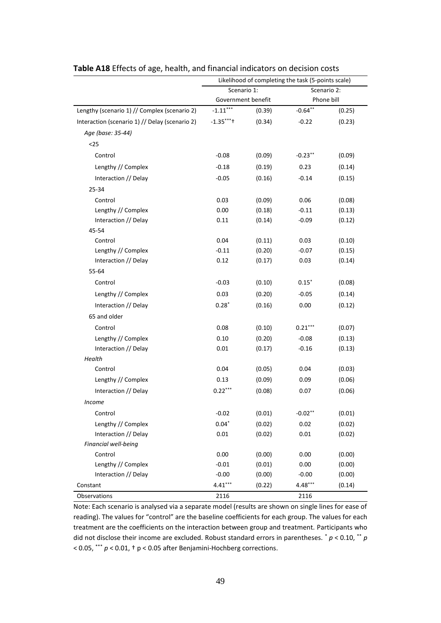|                                                | Likelihood of completing the task (5-points scale) |        |             |        |  |  |
|------------------------------------------------|----------------------------------------------------|--------|-------------|--------|--|--|
|                                                | Scenario 1:                                        |        | Scenario 2: |        |  |  |
|                                                | Government benefit                                 |        | Phone bill  |        |  |  |
| Lengthy (scenario 1) // Complex (scenario 2)   | $-1.11***$                                         | (0.39) | $-0.64**$   | (0.25) |  |  |
| Interaction (scenario 1) // Delay (scenario 2) | $-1.35***$                                         | (0.34) | $-0.22$     | (0.23) |  |  |
| Age (base: 35-44)                              |                                                    |        |             |        |  |  |
| $<25$                                          |                                                    |        |             |        |  |  |
| Control                                        | $-0.08$                                            | (0.09) | $-0.23$ **  | (0.09) |  |  |
| Lengthy // Complex                             | $-0.18$                                            | (0.19) | 0.23        | (0.14) |  |  |
| Interaction // Delay                           | $-0.05$                                            | (0.16) | $-0.14$     | (0.15) |  |  |
| 25-34                                          |                                                    |        |             |        |  |  |
| Control                                        | 0.03                                               | (0.09) | 0.06        | (0.08) |  |  |
| Lengthy // Complex                             | 0.00                                               | (0.18) | $-0.11$     | (0.13) |  |  |
| Interaction // Delay                           | 0.11                                               | (0.14) | $-0.09$     | (0.12) |  |  |
| 45-54                                          |                                                    |        |             |        |  |  |
| Control                                        | 0.04                                               | (0.11) | 0.03        | (0.10) |  |  |
| Lengthy // Complex                             | $-0.11$                                            | (0.20) | $-0.07$     | (0.15) |  |  |
| Interaction // Delay                           | 0.12                                               | (0.17) | 0.03        | (0.14) |  |  |
| 55-64                                          |                                                    |        |             |        |  |  |
| Control                                        | $-0.03$                                            | (0.10) | $0.15*$     | (0.08) |  |  |
| Lengthy // Complex                             | 0.03                                               | (0.20) | $-0.05$     | (0.14) |  |  |
| Interaction // Delay                           | $0.28*$                                            | (0.16) | 0.00        | (0.12) |  |  |
| 65 and older                                   |                                                    |        |             |        |  |  |
| Control                                        | 0.08                                               | (0.10) | $0.21***$   | (0.07) |  |  |
| Lengthy // Complex                             | 0.10                                               | (0.20) | $-0.08$     | (0.13) |  |  |
| Interaction // Delay                           | 0.01                                               | (0.17) | $-0.16$     | (0.13) |  |  |
| Health                                         |                                                    |        |             |        |  |  |
| Control                                        | 0.04                                               | (0.05) | 0.04        | (0.03) |  |  |
| Lengthy // Complex                             | 0.13                                               | (0.09) | 0.09        | (0.06) |  |  |
| Interaction // Delay                           | $0.22***$                                          | (0.08) | 0.07        | (0.06) |  |  |
| Income                                         |                                                    |        |             |        |  |  |
| Control                                        | $-0.02$                                            | (0.01) | $-0.02**$   | (0.01) |  |  |
| Lengthy // Complex                             | $0.04*$                                            | (0.02) | 0.02        | (0.02) |  |  |
| Interaction // Delay                           | 0.01                                               | (0.02) | 0.01        | (0.02) |  |  |
| Financial well-being                           |                                                    |        |             |        |  |  |
| Control                                        | 0.00                                               | (0.00) | 0.00        | (0.00) |  |  |
| Lengthy // Complex                             | $-0.01$                                            | (0.01) | 0.00        | (0.00) |  |  |
| Interaction // Delay                           | $-0.00$                                            | (0.00) | $-0.00$     | (0.00) |  |  |
| Constant                                       | $4.41***$                                          | (0.22) | $4.48***$   | (0.14) |  |  |
| Observations                                   | 2116                                               |        | 2116        |        |  |  |

**Table A18** Effects of age, health, and financial indicators on decision costs

Note: Each scenario is analysed via a separate model (results are shown on single lines for ease of reading). The values for "control" are the baseline coefficients for each group. The values for each treatment are the coefficients on the interaction between group and treatment. Participants who did not disclose their income are excluded. Robust standard errors in parentheses. \* *p* < 0.10, \*\* *p* < 0.05, \*\*\* *p* < 0.01, † p < 0.05 after Benjamini-Hochberg corrections.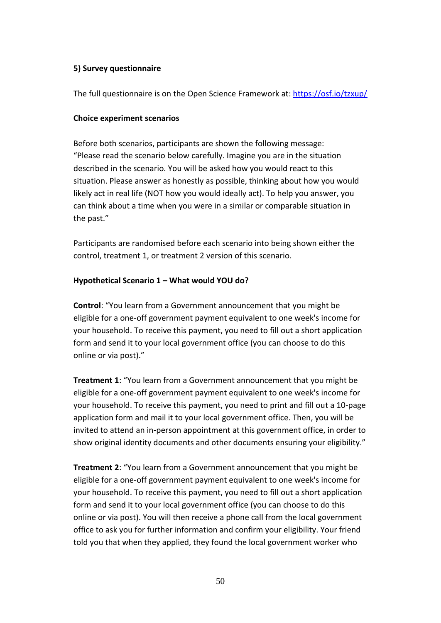### **5) Survey questionnaire**

The full questionnaire is on the Open Science Framework at: <https://osf.io/tzxup/>

### **Choice experiment scenarios**

Before both scenarios, participants are shown the following message: "Please read the scenario below carefully. Imagine you are in the situation described in the scenario. You will be asked how you would react to this situation. Please answer as honestly as possible, thinking about how you would likely act in real life (NOT how you would ideally act). To help you answer, you can think about a time when you were in a similar or comparable situation in the past."

Participants are randomised before each scenario into being shown either the control, treatment 1, or treatment 2 version of this scenario.

### **Hypothetical Scenario 1 – What would YOU do?**

**Control**: "You learn from a Government announcement that you might be eligible for a one-off government payment equivalent to one week's income for your household. To receive this payment, you need to fill out a short application form and send it to your local government office (you can choose to do this online or via post)."

**Treatment 1**: "You learn from a Government announcement that you might be eligible for a one-off government payment equivalent to one week's income for your household. To receive this payment, you need to print and fill out a 10-page application form and mail it to your local government office. Then, you will be invited to attend an in-person appointment at this government office, in order to show original identity documents and other documents ensuring your eligibility."

**Treatment 2**: "You learn from a Government announcement that you might be eligible for a one-off government payment equivalent to one week's income for your household. To receive this payment, you need to fill out a short application form and send it to your local government office (you can choose to do this online or via post). You will then receive a phone call from the local government office to ask you for further information and confirm your eligibility. Your friend told you that when they applied, they found the local government worker who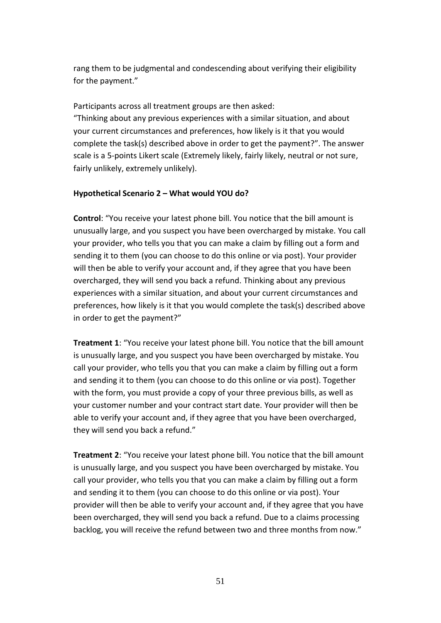rang them to be judgmental and condescending about verifying their eligibility for the payment."

Participants across all treatment groups are then asked:

"Thinking about any previous experiences with a similar situation, and about your current circumstances and preferences, how likely is it that you would complete the task(s) described above in order to get the payment?". The answer scale is a 5-points Likert scale (Extremely likely, fairly likely, neutral or not sure, fairly unlikely, extremely unlikely).

# **Hypothetical Scenario 2 – What would YOU do?**

**Control**: "You receive your latest phone bill. You notice that the bill amount is unusually large, and you suspect you have been overcharged by mistake. You call your provider, who tells you that you can make a claim by filling out a form and sending it to them (you can choose to do this online or via post). Your provider will then be able to verify your account and, if they agree that you have been overcharged, they will send you back a refund. Thinking about any previous experiences with a similar situation, and about your current circumstances and preferences, how likely is it that you would complete the task(s) described above in order to get the payment?"

**Treatment 1**: "You receive your latest phone bill. You notice that the bill amount is unusually large, and you suspect you have been overcharged by mistake. You call your provider, who tells you that you can make a claim by filling out a form and sending it to them (you can choose to do this online or via post). Together with the form, you must provide a copy of your three previous bills, as well as your customer number and your contract start date. Your provider will then be able to verify your account and, if they agree that you have been overcharged, they will send you back a refund."

**Treatment 2**: "You receive your latest phone bill. You notice that the bill amount is unusually large, and you suspect you have been overcharged by mistake. You call your provider, who tells you that you can make a claim by filling out a form and sending it to them (you can choose to do this online or via post). Your provider will then be able to verify your account and, if they agree that you have been overcharged, they will send you back a refund. Due to a claims processing backlog, you will receive the refund between two and three months from now."